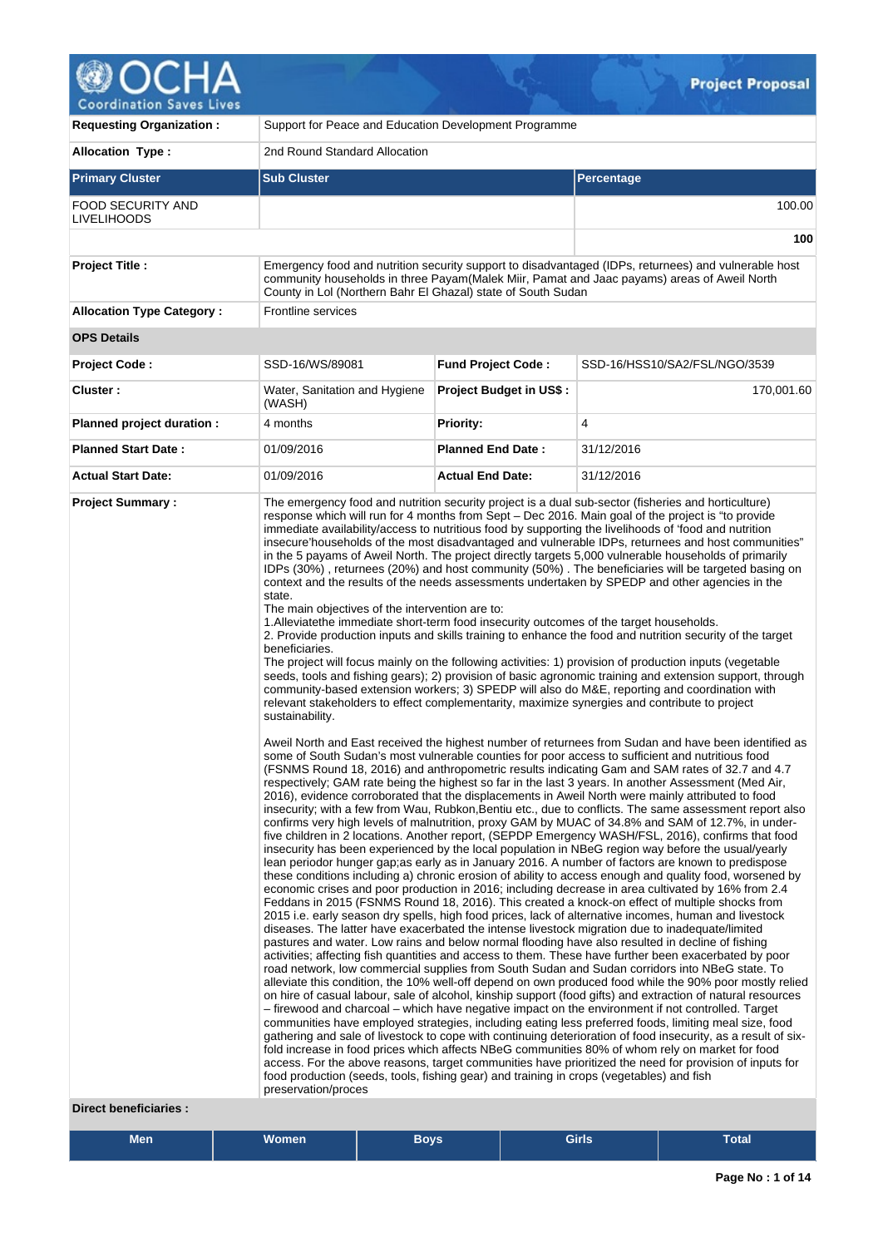

| <b>Requesting Organization:</b>                         | Support for Peace and Education Development Programme                                                                                                                                                                                                                                                         |                                |                                                                                                                                                                                                                                                                                                                                                                                                                                                                                                                                                                                                                                                                                                                                                                                                                                                                                                                                                                                                                                                                                                                                                                                                                                                                                                                                                                                                                                                                                                                                                                                                                                                                                                                                                                                                                                                                                                                                                                                                                                                                                                                                                                                                                                                                                                                                                                                                                                                                                                                                                                                                                                                                                                                                                                                                                                                                                                                                                                                                                                                                                                                                                                                                                                                                                                                                                                                                                                                                                                                                                                                                                                                                                                                                                                                                                                                                                                                                                                    |  |  |  |
|---------------------------------------------------------|---------------------------------------------------------------------------------------------------------------------------------------------------------------------------------------------------------------------------------------------------------------------------------------------------------------|--------------------------------|--------------------------------------------------------------------------------------------------------------------------------------------------------------------------------------------------------------------------------------------------------------------------------------------------------------------------------------------------------------------------------------------------------------------------------------------------------------------------------------------------------------------------------------------------------------------------------------------------------------------------------------------------------------------------------------------------------------------------------------------------------------------------------------------------------------------------------------------------------------------------------------------------------------------------------------------------------------------------------------------------------------------------------------------------------------------------------------------------------------------------------------------------------------------------------------------------------------------------------------------------------------------------------------------------------------------------------------------------------------------------------------------------------------------------------------------------------------------------------------------------------------------------------------------------------------------------------------------------------------------------------------------------------------------------------------------------------------------------------------------------------------------------------------------------------------------------------------------------------------------------------------------------------------------------------------------------------------------------------------------------------------------------------------------------------------------------------------------------------------------------------------------------------------------------------------------------------------------------------------------------------------------------------------------------------------------------------------------------------------------------------------------------------------------------------------------------------------------------------------------------------------------------------------------------------------------------------------------------------------------------------------------------------------------------------------------------------------------------------------------------------------------------------------------------------------------------------------------------------------------------------------------------------------------------------------------------------------------------------------------------------------------------------------------------------------------------------------------------------------------------------------------------------------------------------------------------------------------------------------------------------------------------------------------------------------------------------------------------------------------------------------------------------------------------------------------------------------------------------------------------------------------------------------------------------------------------------------------------------------------------------------------------------------------------------------------------------------------------------------------------------------------------------------------------------------------------------------------------------------------------------------------------------------------------------------------------------------------|--|--|--|
| <b>Allocation Type:</b>                                 | 2nd Round Standard Allocation                                                                                                                                                                                                                                                                                 |                                |                                                                                                                                                                                                                                                                                                                                                                                                                                                                                                                                                                                                                                                                                                                                                                                                                                                                                                                                                                                                                                                                                                                                                                                                                                                                                                                                                                                                                                                                                                                                                                                                                                                                                                                                                                                                                                                                                                                                                                                                                                                                                                                                                                                                                                                                                                                                                                                                                                                                                                                                                                                                                                                                                                                                                                                                                                                                                                                                                                                                                                                                                                                                                                                                                                                                                                                                                                                                                                                                                                                                                                                                                                                                                                                                                                                                                                                                                                                                                                    |  |  |  |
| <b>Primary Cluster</b>                                  | <b>Sub Cluster</b>                                                                                                                                                                                                                                                                                            |                                | Percentage                                                                                                                                                                                                                                                                                                                                                                                                                                                                                                                                                                                                                                                                                                                                                                                                                                                                                                                                                                                                                                                                                                                                                                                                                                                                                                                                                                                                                                                                                                                                                                                                                                                                                                                                                                                                                                                                                                                                                                                                                                                                                                                                                                                                                                                                                                                                                                                                                                                                                                                                                                                                                                                                                                                                                                                                                                                                                                                                                                                                                                                                                                                                                                                                                                                                                                                                                                                                                                                                                                                                                                                                                                                                                                                                                                                                                                                                                                                                                         |  |  |  |
| <b>FOOD SECURITY AND</b><br><b>LIVELIHOODS</b>          |                                                                                                                                                                                                                                                                                                               |                                | 100.00                                                                                                                                                                                                                                                                                                                                                                                                                                                                                                                                                                                                                                                                                                                                                                                                                                                                                                                                                                                                                                                                                                                                                                                                                                                                                                                                                                                                                                                                                                                                                                                                                                                                                                                                                                                                                                                                                                                                                                                                                                                                                                                                                                                                                                                                                                                                                                                                                                                                                                                                                                                                                                                                                                                                                                                                                                                                                                                                                                                                                                                                                                                                                                                                                                                                                                                                                                                                                                                                                                                                                                                                                                                                                                                                                                                                                                                                                                                                                             |  |  |  |
|                                                         |                                                                                                                                                                                                                                                                                                               |                                | 100                                                                                                                                                                                                                                                                                                                                                                                                                                                                                                                                                                                                                                                                                                                                                                                                                                                                                                                                                                                                                                                                                                                                                                                                                                                                                                                                                                                                                                                                                                                                                                                                                                                                                                                                                                                                                                                                                                                                                                                                                                                                                                                                                                                                                                                                                                                                                                                                                                                                                                                                                                                                                                                                                                                                                                                                                                                                                                                                                                                                                                                                                                                                                                                                                                                                                                                                                                                                                                                                                                                                                                                                                                                                                                                                                                                                                                                                                                                                                                |  |  |  |
| <b>Project Title:</b>                                   | County in Lol (Northern Bahr El Ghazal) state of South Sudan                                                                                                                                                                                                                                                  |                                | Emergency food and nutrition security support to disadvantaged (IDPs, returnees) and vulnerable host<br>community households in three Payam (Malek Miir, Pamat and Jaac payams) areas of Aweil North                                                                                                                                                                                                                                                                                                                                                                                                                                                                                                                                                                                                                                                                                                                                                                                                                                                                                                                                                                                                                                                                                                                                                                                                                                                                                                                                                                                                                                                                                                                                                                                                                                                                                                                                                                                                                                                                                                                                                                                                                                                                                                                                                                                                                                                                                                                                                                                                                                                                                                                                                                                                                                                                                                                                                                                                                                                                                                                                                                                                                                                                                                                                                                                                                                                                                                                                                                                                                                                                                                                                                                                                                                                                                                                                                               |  |  |  |
| <b>Allocation Type Category:</b>                        | Frontline services                                                                                                                                                                                                                                                                                            |                                |                                                                                                                                                                                                                                                                                                                                                                                                                                                                                                                                                                                                                                                                                                                                                                                                                                                                                                                                                                                                                                                                                                                                                                                                                                                                                                                                                                                                                                                                                                                                                                                                                                                                                                                                                                                                                                                                                                                                                                                                                                                                                                                                                                                                                                                                                                                                                                                                                                                                                                                                                                                                                                                                                                                                                                                                                                                                                                                                                                                                                                                                                                                                                                                                                                                                                                                                                                                                                                                                                                                                                                                                                                                                                                                                                                                                                                                                                                                                                                    |  |  |  |
| <b>OPS Details</b>                                      |                                                                                                                                                                                                                                                                                                               |                                |                                                                                                                                                                                                                                                                                                                                                                                                                                                                                                                                                                                                                                                                                                                                                                                                                                                                                                                                                                                                                                                                                                                                                                                                                                                                                                                                                                                                                                                                                                                                                                                                                                                                                                                                                                                                                                                                                                                                                                                                                                                                                                                                                                                                                                                                                                                                                                                                                                                                                                                                                                                                                                                                                                                                                                                                                                                                                                                                                                                                                                                                                                                                                                                                                                                                                                                                                                                                                                                                                                                                                                                                                                                                                                                                                                                                                                                                                                                                                                    |  |  |  |
| <b>Project Code:</b>                                    | SSD-16/WS/89081                                                                                                                                                                                                                                                                                               | <b>Fund Project Code:</b>      | SSD-16/HSS10/SA2/FSL/NGO/3539                                                                                                                                                                                                                                                                                                                                                                                                                                                                                                                                                                                                                                                                                                                                                                                                                                                                                                                                                                                                                                                                                                                                                                                                                                                                                                                                                                                                                                                                                                                                                                                                                                                                                                                                                                                                                                                                                                                                                                                                                                                                                                                                                                                                                                                                                                                                                                                                                                                                                                                                                                                                                                                                                                                                                                                                                                                                                                                                                                                                                                                                                                                                                                                                                                                                                                                                                                                                                                                                                                                                                                                                                                                                                                                                                                                                                                                                                                                                      |  |  |  |
| <b>Cluster:</b>                                         | Water, Sanitation and Hygiene<br>(WASH)                                                                                                                                                                                                                                                                       | <b>Project Budget in US\$:</b> | 170,001.60                                                                                                                                                                                                                                                                                                                                                                                                                                                                                                                                                                                                                                                                                                                                                                                                                                                                                                                                                                                                                                                                                                                                                                                                                                                                                                                                                                                                                                                                                                                                                                                                                                                                                                                                                                                                                                                                                                                                                                                                                                                                                                                                                                                                                                                                                                                                                                                                                                                                                                                                                                                                                                                                                                                                                                                                                                                                                                                                                                                                                                                                                                                                                                                                                                                                                                                                                                                                                                                                                                                                                                                                                                                                                                                                                                                                                                                                                                                                                         |  |  |  |
| Planned project duration :                              | 4 months                                                                                                                                                                                                                                                                                                      | <b>Priority:</b>               | 4                                                                                                                                                                                                                                                                                                                                                                                                                                                                                                                                                                                                                                                                                                                                                                                                                                                                                                                                                                                                                                                                                                                                                                                                                                                                                                                                                                                                                                                                                                                                                                                                                                                                                                                                                                                                                                                                                                                                                                                                                                                                                                                                                                                                                                                                                                                                                                                                                                                                                                                                                                                                                                                                                                                                                                                                                                                                                                                                                                                                                                                                                                                                                                                                                                                                                                                                                                                                                                                                                                                                                                                                                                                                                                                                                                                                                                                                                                                                                                  |  |  |  |
| <b>Planned Start Date:</b>                              | 01/09/2016                                                                                                                                                                                                                                                                                                    | <b>Planned End Date:</b>       | 31/12/2016                                                                                                                                                                                                                                                                                                                                                                                                                                                                                                                                                                                                                                                                                                                                                                                                                                                                                                                                                                                                                                                                                                                                                                                                                                                                                                                                                                                                                                                                                                                                                                                                                                                                                                                                                                                                                                                                                                                                                                                                                                                                                                                                                                                                                                                                                                                                                                                                                                                                                                                                                                                                                                                                                                                                                                                                                                                                                                                                                                                                                                                                                                                                                                                                                                                                                                                                                                                                                                                                                                                                                                                                                                                                                                                                                                                                                                                                                                                                                         |  |  |  |
| <b>Actual Start Date:</b>                               | 01/09/2016                                                                                                                                                                                                                                                                                                    | <b>Actual End Date:</b>        | 31/12/2016                                                                                                                                                                                                                                                                                                                                                                                                                                                                                                                                                                                                                                                                                                                                                                                                                                                                                                                                                                                                                                                                                                                                                                                                                                                                                                                                                                                                                                                                                                                                                                                                                                                                                                                                                                                                                                                                                                                                                                                                                                                                                                                                                                                                                                                                                                                                                                                                                                                                                                                                                                                                                                                                                                                                                                                                                                                                                                                                                                                                                                                                                                                                                                                                                                                                                                                                                                                                                                                                                                                                                                                                                                                                                                                                                                                                                                                                                                                                                         |  |  |  |
| <b>Project Summary:</b><br><b>Direct beneficiaries:</b> | state.<br>The main objectives of the intervention are to:<br>1. Alleviate the immediate short-term food insecurity outcomes of the target households.<br>beneficiaries.<br>sustainability.<br>food production (seeds, tools, fishing gear) and training in crops (vegetables) and fish<br>preservation/proces |                                | The emergency food and nutrition security project is a dual sub-sector (fisheries and horticulture)<br>response which will run for 4 months from Sept – Dec 2016. Main goal of the project is "to provide"<br>immediate availability/access to nutritious food by supporting the livelihoods of 'food and nutrition<br>insecure'households of the most disadvantaged and vulnerable IDPs, returnees and host communities"<br>in the 5 payams of Aweil North. The project directly targets 5,000 vulnerable households of primarily<br>IDPs (30%), returnees (20%) and host community (50%). The beneficiaries will be targeted basing on<br>context and the results of the needs assessments undertaken by SPEDP and other agencies in the<br>2. Provide production inputs and skills training to enhance the food and nutrition security of the target<br>The project will focus mainly on the following activities: 1) provision of production inputs (vegetable<br>seeds, tools and fishing gears); 2) provision of basic agronomic training and extension support, through<br>community-based extension workers; 3) SPEDP will also do M&E, reporting and coordination with<br>relevant stakeholders to effect complementarity, maximize synergies and contribute to project<br>Aweil North and East received the highest number of returnees from Sudan and have been identified as<br>some of South Sudan's most vulnerable counties for poor access to sufficient and nutritious food<br>(FSNMS Round 18, 2016) and anthropometric results indicating Gam and SAM rates of 32.7 and 4.7<br>respectively; GAM rate being the highest so far in the last 3 years. In another Assessment (Med Air,<br>2016), evidence corroborated that the displacements in Aweil North were mainly attributed to food<br>insecurity; with a few from Wau, Rubkon, Bentiu etc., due to conflicts. The same assessment report also<br>confirms very high levels of malnutrition, proxy GAM by MUAC of 34.8% and SAM of 12.7%, in under-<br>five children in 2 locations. Another report, (SEPDP Emergency WASH/FSL, 2016), confirms that food<br>insecurity has been experienced by the local population in NBeG region way before the usual/yearly<br>lean periodor hunger gap; as early as in January 2016. A number of factors are known to predispose<br>these conditions including a) chronic erosion of ability to access enough and quality food, worsened by<br>economic crises and poor production in 2016; including decrease in area cultivated by 16% from 2.4<br>Feddans in 2015 (FSNMS Round 18, 2016). This created a knock-on effect of multiple shocks from<br>2015 i.e. early season dry spells, high food prices, lack of alternative incomes, human and livestock<br>diseases. The latter have exacerbated the intense livestock migration due to inadequate/limited<br>pastures and water. Low rains and below normal flooding have also resulted in decline of fishing<br>activities; affecting fish quantities and access to them. These have further been exacerbated by poor<br>road network, low commercial supplies from South Sudan and Sudan corridors into NBeG state. To<br>alleviate this condition, the 10% well-off depend on own produced food while the 90% poor mostly relied<br>on hire of casual labour, sale of alcohol, kinship support (food gifts) and extraction of natural resources<br>- firewood and charcoal – which have negative impact on the environment if not controlled. Target<br>communities have employed strategies, including eating less preferred foods, limiting meal size, food<br>gathering and sale of livestock to cope with continuing deterioration of food insecurity, as a result of six-<br>fold increase in food prices which affects NBeG communities 80% of whom rely on market for food<br>access. For the above reasons, target communities have prioritized the need for provision of inputs for |  |  |  |

| <b>Men</b> | .<br>Women | <b>Bovs</b> | Girls | –<br>Total |
|------------|------------|-------------|-------|------------|
|            |            |             |       |            |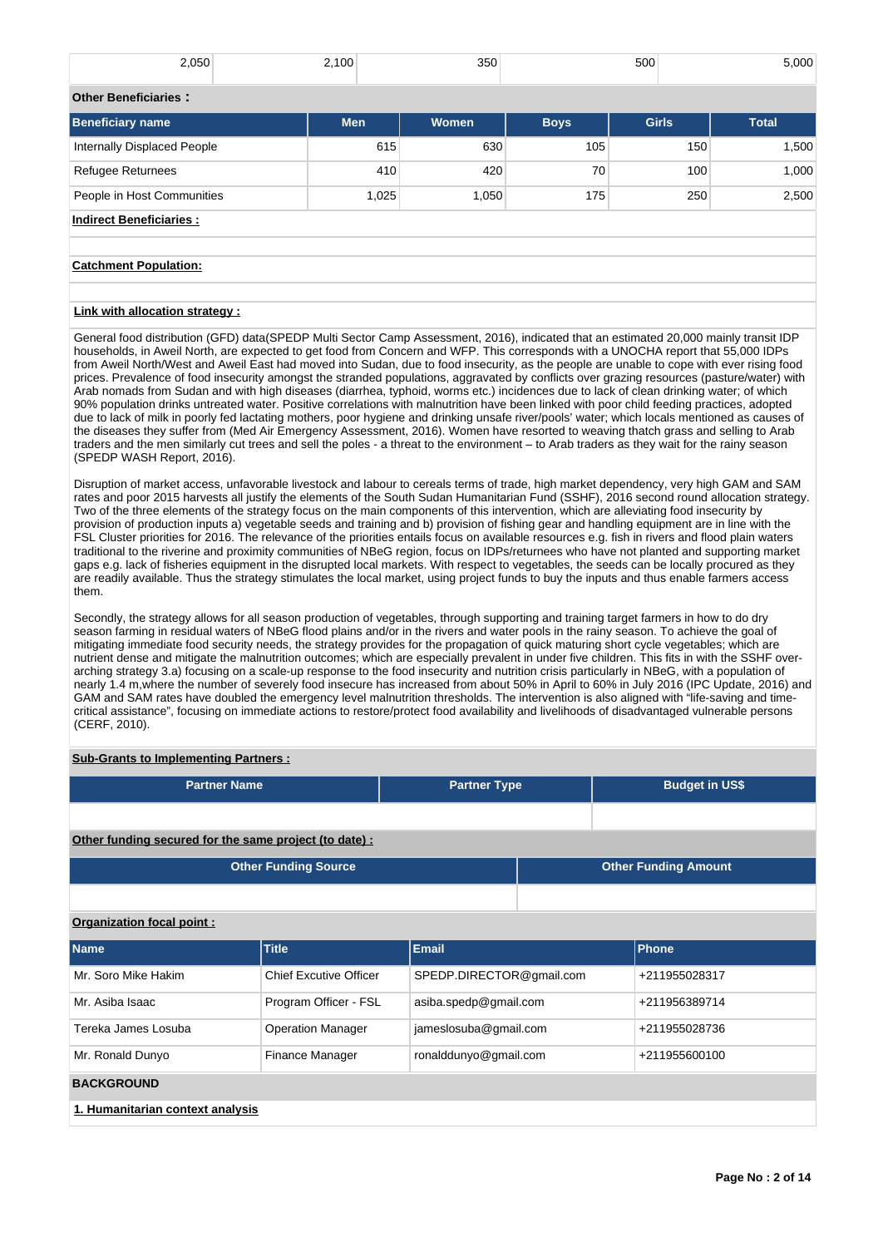| 2,050                       | 2,100      | 350   |             | 500          | 5,000        |
|-----------------------------|------------|-------|-------------|--------------|--------------|
| <b>Other Beneficiaries:</b> |            |       |             |              |              |
| <b>Beneficiary name</b>     | <b>Men</b> | Women | <b>Boys</b> | <b>Girls</b> | <b>Total</b> |
| Internally Displaced People | 615        | 630   | 105         | 150          | 1,500        |
| <b>Refugee Returnees</b>    | 410        | 420   | 70          | 100          | 1,000        |
| People in Host Communities  | 1.025      | .050  | 175         | 250          | 2.500        |

# **Indirect Beneficiaries :**

## **Catchment Population:**

## **Link with allocation strategy :**

General food distribution (GFD) data(SPEDP Multi Sector Camp Assessment, 2016), indicated that an estimated 20,000 mainly transit IDP households, in Aweil North, are expected to get food from Concern and WFP. This corresponds with a UNOCHA report that 55,000 IDPs from Aweil North/West and Aweil East had moved into Sudan, due to food insecurity, as the people are unable to cope with ever rising food prices. Prevalence of food insecurity amongst the stranded populations, aggravated by conflicts over grazing resources (pasture/water) with Arab nomads from Sudan and with high diseases (diarrhea, typhoid, worms etc.) incidences due to lack of clean drinking water; of which 90% population drinks untreated water. Positive correlations with malnutrition have been linked with poor child feeding practices, adopted due to lack of milk in poorly fed lactating mothers, poor hygiene and drinking unsafe river/pools' water; which locals mentioned as causes of the diseases they suffer from (Med Air Emergency Assessment, 2016). Women have resorted to weaving thatch grass and selling to Arab traders and the men similarly cut trees and sell the poles - a threat to the environment – to Arab traders as they wait for the rainy season (SPEDP WASH Report, 2016).

Disruption of market access, unfavorable livestock and labour to cereals terms of trade, high market dependency, very high GAM and SAM rates and poor 2015 harvests all justify the elements of the South Sudan Humanitarian Fund (SSHF), 2016 second round allocation strategy. Two of the three elements of the strategy focus on the main components of this intervention, which are alleviating food insecurity by provision of production inputs a) vegetable seeds and training and b) provision of fishing gear and handling equipment are in line with the FSL Cluster priorities for 2016. The relevance of the priorities entails focus on available resources e.g. fish in rivers and flood plain waters traditional to the riverine and proximity communities of NBeG region, focus on IDPs/returnees who have not planted and supporting market gaps e.g. lack of fisheries equipment in the disrupted local markets. With respect to vegetables, the seeds can be locally procured as they are readily available. Thus the strategy stimulates the local market, using project funds to buy the inputs and thus enable farmers access them.

Secondly, the strategy allows for all season production of vegetables, through supporting and training target farmers in how to do dry season farming in residual waters of NBeG flood plains and/or in the rivers and water pools in the rainy season. To achieve the goal of mitigating immediate food security needs, the strategy provides for the propagation of quick maturing short cycle vegetables; which are nutrient dense and mitigate the malnutrition outcomes; which are especially prevalent in under five children. This fits in with the SSHF overarching strategy 3.a) focusing on a scale-up response to the food insecurity and nutrition crisis particularly in NBeG, with a population of nearly 1.4 m,where the number of severely food insecure has increased from about 50% in April to 60% in July 2016 (IPC Update, 2016) and GAM and SAM rates have doubled the emergency level malnutrition thresholds. The intervention is also aligned with "life-saving and timecritical assistance", focusing on immediate actions to restore/protect food availability and livelihoods of disadvantaged vulnerable persons (CERF, 2010).

## **Sub-Grants to Implementing Partners :**

| <b>Partner Name</b>                                   | <b>Partner Type</b> | <b>Budget in US\$</b>       |  |
|-------------------------------------------------------|---------------------|-----------------------------|--|
|                                                       |                     |                             |  |
|                                                       |                     |                             |  |
|                                                       |                     |                             |  |
| Other funding secured for the same project (to date): |                     |                             |  |
| <b>Other Funding Source</b>                           |                     | <b>Other Funding Amount</b> |  |
|                                                       |                     |                             |  |

## **Organization focal point :**

| <b>Name</b>                      | <b>Title</b>                  | <b>Email</b>             | Phone         |  |  |  |  |
|----------------------------------|-------------------------------|--------------------------|---------------|--|--|--|--|
| Mr. Soro Mike Hakim              | <b>Chief Excutive Officer</b> | SPEDP.DIRECTOR@gmail.com | +211955028317 |  |  |  |  |
| Mr. Asiba Isaac                  | Program Officer - FSL         | asiba.spedp@gmail.com    | +211956389714 |  |  |  |  |
| Tereka James Losuba              | <b>Operation Manager</b>      | jameslosuba@gmail.com    | +211955028736 |  |  |  |  |
| Mr. Ronald Dunyo                 | <b>Finance Manager</b>        | ronalddunyo@gmail.com    | +211955600100 |  |  |  |  |
| <b>BACKGROUND</b>                |                               |                          |               |  |  |  |  |
| 1. Humanitarian context analysis |                               |                          |               |  |  |  |  |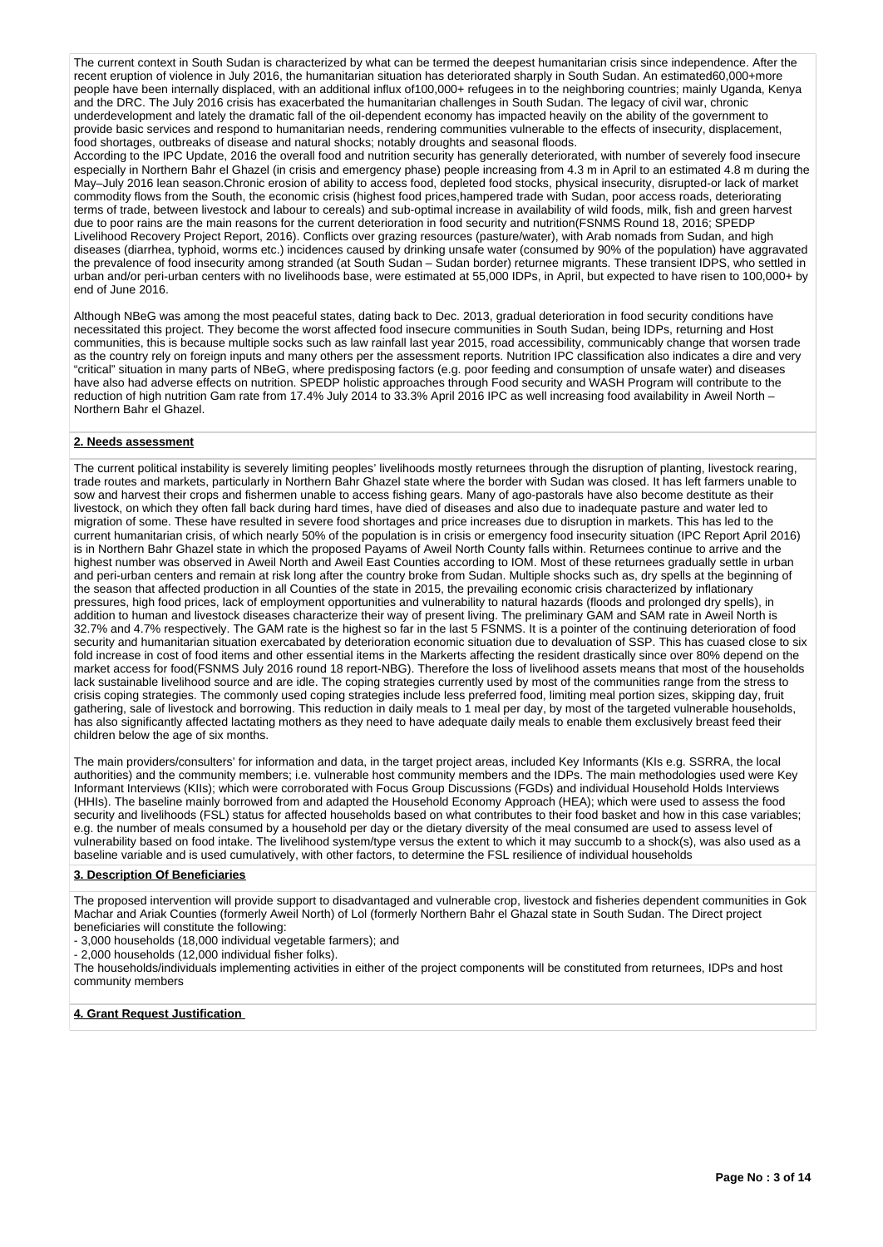The current context in South Sudan is characterized by what can be termed the deepest humanitarian crisis since independence. After the recent eruption of violence in July 2016, the humanitarian situation has deteriorated sharply in South Sudan. An estimated60,000+more people have been internally displaced, with an additional influx of 100,000+ refugees in to the neighboring countries; mainly Uganda, Kenya and the DRC. The July 2016 crisis has exacerbated the humanitarian challenges in South Sudan. The legacy of civil war, chronic underdevelopment and lately the dramatic fall of the oil-dependent economy has impacted heavily on the ability of the government to provide basic services and respond to humanitarian needs, rendering communities vulnerable to the effects of insecurity, displacement, food shortages, outbreaks of disease and natural shocks; notably droughts and seasonal floods.

According to the IPC Update, 2016 the overall food and nutrition security has generally deteriorated, with number of severely food insecure especially in Northern Bahr el Ghazel (in crisis and emergency phase) people increasing from 4.3 m in April to an estimated 4.8 m during the May–July 2016 lean season.Chronic erosion of ability to access food, depleted food stocks, physical insecurity, disrupted-or lack of market commodity flows from the South, the economic crisis (highest food prices,hampered trade with Sudan, poor access roads, deteriorating terms of trade, between livestock and labour to cereals) and sub-optimal increase in availability of wild foods, milk, fish and green harvest due to poor rains are the main reasons for the current deterioration in food security and nutrition(FSNMS Round 18, 2016; SPEDP Livelihood Recovery Project Report, 2016). Conflicts over grazing resources (pasture/water), with Arab nomads from Sudan, and high diseases (diarrhea, typhoid, worms etc.) incidences caused by drinking unsafe water (consumed by 90% of the population) have aggravated the prevalence of food insecurity among stranded (at South Sudan – Sudan border) returnee migrants. These transient IDPS, who settled in urban and/or peri-urban centers with no livelihoods base, were estimated at 55,000 IDPs, in April, but expected to have risen to 100,000+ by end of June 2016.

Although NBeG was among the most peaceful states, dating back to Dec. 2013, gradual deterioration in food security conditions have necessitated this project. They become the worst affected food insecure communities in South Sudan, being IDPs, returning and Host communities, this is because multiple socks such as law rainfall last year 2015, road accessibility, communicably change that worsen trade as the country rely on foreign inputs and many others per the assessment reports. Nutrition IPC classification also indicates a dire and very "critical" situation in many parts of NBeG, where predisposing factors (e.g. poor feeding and consumption of unsafe water) and diseases have also had adverse effects on nutrition. SPEDP holistic approaches through Food security and WASH Program will contribute to the reduction of high nutrition Gam rate from 17.4% July 2014 to 33.3% April 2016 IPC as well increasing food availability in Aweil North – Northern Bahr el Ghazel.

## **2. Needs assessment**

The current political instability is severely limiting peoples' livelihoods mostly returnees through the disruption of planting, livestock rearing, trade routes and markets, particularly in Northern Bahr Ghazel state where the border with Sudan was closed. It has left farmers unable to sow and harvest their crops and fishermen unable to access fishing gears. Many of ago-pastorals have also become destitute as their livestock, on which they often fall back during hard times, have died of diseases and also due to inadequate pasture and water led to migration of some. These have resulted in severe food shortages and price increases due to disruption in markets. This has led to the current humanitarian crisis, of which nearly 50% of the population is in crisis or emergency food insecurity situation (IPC Report April 2016) is in Northern Bahr Ghazel state in which the proposed Payams of Aweil North County falls within. Returnees continue to arrive and the highest number was observed in Aweil North and Aweil East Counties according to IOM. Most of these returnees gradually settle in urban and peri-urban centers and remain at risk long after the country broke from Sudan. Multiple shocks such as, dry spells at the beginning of the season that affected production in all Counties of the state in 2015, the prevailing economic crisis characterized by inflationary pressures, high food prices, lack of employment opportunities and vulnerability to natural hazards (floods and prolonged dry spells), in addition to human and livestock diseases characterize their way of present living. The preliminary GAM and SAM rate in Aweil North is 32.7% and 4.7% respectively. The GAM rate is the highest so far in the last 5 FSNMS. It is a pointer of the continuing deterioration of food security and humanitarian situation exercabated by deterioration economic situation due to devaluation of SSP. This has cuased close to six fold increase in cost of food items and other essential items in the Markerts affecting the resident drastically since over 80% depend on the market access for food(FSNMS July 2016 round 18 report-NBG). Therefore the loss of livelihood assets means that most of the households lack sustainable livelihood source and are idle. The coping strategies currently used by most of the communities range from the stress to crisis coping strategies. The commonly used coping strategies include less preferred food, limiting meal portion sizes, skipping day, fruit gathering, sale of livestock and borrowing. This reduction in daily meals to 1 meal per day, by most of the targeted vulnerable households, has also significantly affected lactating mothers as they need to have adequate daily meals to enable them exclusively breast feed their children below the age of six months.

The main providers/consulters' for information and data, in the target project areas, included Key Informants (KIs e.g. SSRRA, the local authorities) and the community members; i.e. vulnerable host community members and the IDPs. The main methodologies used were Key Informant Interviews (KIIs); which were corroborated with Focus Group Discussions (FGDs) and individual Household Holds Interviews (HHIs). The baseline mainly borrowed from and adapted the Household Economy Approach (HEA); which were used to assess the food security and livelihoods (FSL) status for affected households based on what contributes to their food basket and how in this case variables; e.g. the number of meals consumed by a household per day or the dietary diversity of the meal consumed are used to assess level of vulnerability based on food intake. The livelihood system/type versus the extent to which it may succumb to a shock(s), was also used as a baseline variable and is used cumulatively, with other factors, to determine the FSL resilience of individual households

## **3. Description Of Beneficiaries**

The proposed intervention will provide support to disadvantaged and vulnerable crop, livestock and fisheries dependent communities in Gok Machar and Ariak Counties (formerly Aweil North) of Lol (formerly Northern Bahr el Ghazal state in South Sudan. The Direct project beneficiaries will constitute the following:

- 3,000 households (18,000 individual vegetable farmers); and

- 2,000 households (12,000 individual fisher folks).

The households/individuals implementing activities in either of the project components will be constituted from returnees, IDPs and host community members

**4. Grant Request Justification**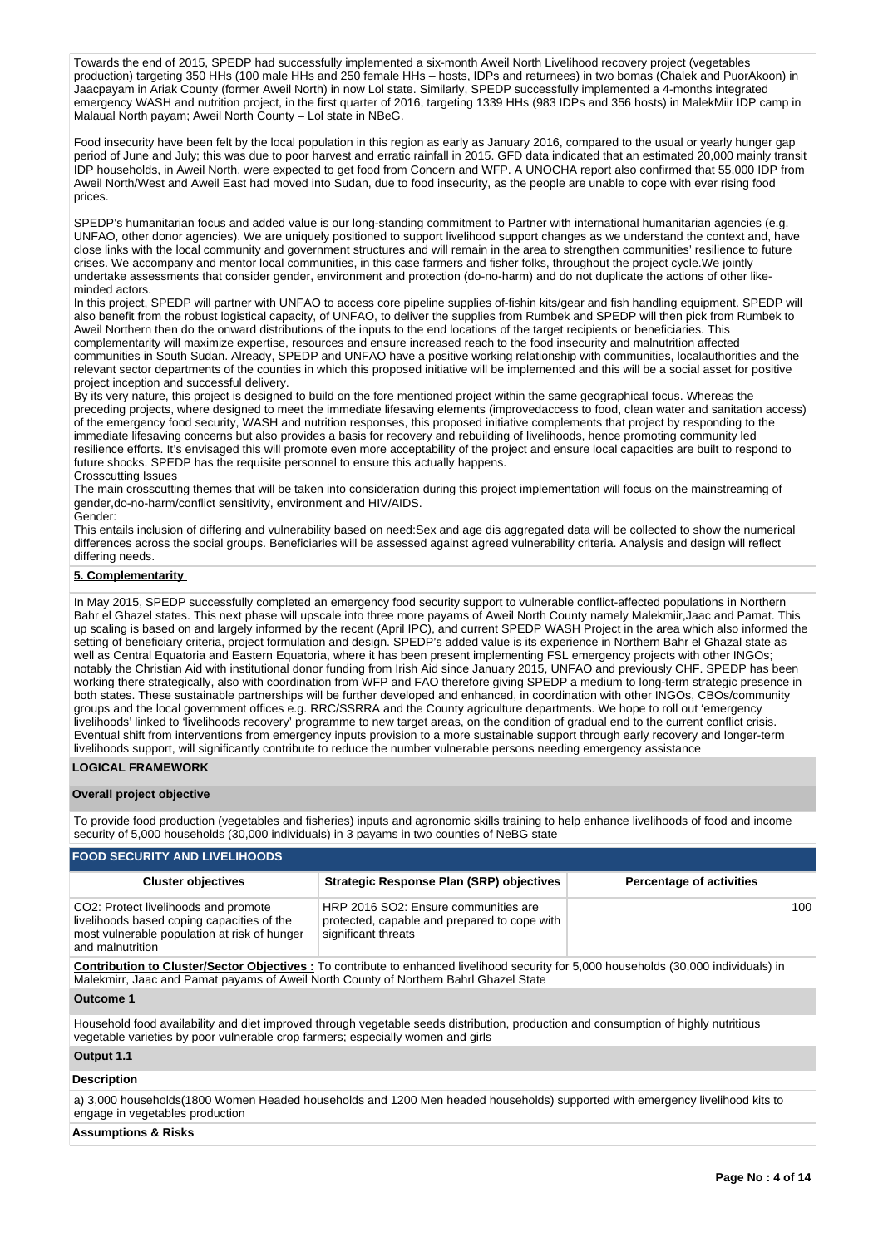Towards the end of 2015, SPEDP had successfully implemented a six-month Aweil North Livelihood recovery project (vegetables production) targeting 350 HHs (100 male HHs and 250 female HHs – hosts, IDPs and returnees) in two bomas (Chalek and PuorAkoon) in Jaacpayam in Ariak County (former Aweil North) in now Lol state. Similarly, SPEDP successfully implemented a 4-months integrated emergency WASH and nutrition project, in the first quarter of 2016, targeting 1339 HHs (983 IDPs and 356 hosts) in MalekMiir IDP camp in Malaual North payam; Aweil North County – Lol state in NBeG.

Food insecurity have been felt by the local population in this region as early as January 2016, compared to the usual or yearly hunger gap period of June and July; this was due to poor harvest and erratic rainfall in 2015. GFD data indicated that an estimated 20,000 mainly transit IDP households, in Aweil North, were expected to get food from Concern and WFP. A UNOCHA report also confirmed that 55,000 IDP from Aweil North/West and Aweil East had moved into Sudan, due to food insecurity, as the people are unable to cope with ever rising food prices.

SPEDP's humanitarian focus and added value is our long-standing commitment to Partner with international humanitarian agencies (e.g. UNFAO, other donor agencies). We are uniquely positioned to support livelihood support changes as we understand the context and, have close links with the local community and government structures and will remain in the area to strengthen communities' resilience to future crises. We accompany and mentor local communities, in this case farmers and fisher folks, throughout the project cycle.We jointly undertake assessments that consider gender, environment and protection (do-no-harm) and do not duplicate the actions of other likeminded actors.

In this project, SPEDP will partner with UNFAO to access core pipeline supplies of-fishin kits/gear and fish handling equipment. SPEDP will also benefit from the robust logistical capacity, of UNFAO, to deliver the supplies from Rumbek and SPEDP will then pick from Rumbek to Aweil Northern then do the onward distributions of the inputs to the end locations of the target recipients or beneficiaries. This complementarity will maximize expertise, resources and ensure increased reach to the food insecurity and malnutrition affected communities in South Sudan. Already, SPEDP and UNFAO have a positive working relationship with communities, localauthorities and the relevant sector departments of the counties in which this proposed initiative will be implemented and this will be a social asset for positive project inception and successful delivery.

By its very nature, this project is designed to build on the fore mentioned project within the same geographical focus. Whereas the preceding projects, where designed to meet the immediate lifesaving elements (improvedaccess to food, clean water and sanitation access) of the emergency food security, WASH and nutrition responses, this proposed initiative complements that project by responding to the immediate lifesaving concerns but also provides a basis for recovery and rebuilding of livelihoods, hence promoting community led resilience efforts. It's envisaged this will promote even more acceptability of the project and ensure local capacities are built to respond to future shocks. SPEDP has the requisite personnel to ensure this actually happens.

Crosscutting Issues

The main crosscutting themes that will be taken into consideration during this project implementation will focus on the mainstreaming of gender,do-no-harm/conflict sensitivity, environment and HIV/AIDS. Gender:

This entails inclusion of differing and vulnerability based on need:Sex and age dis aggregated data will be collected to show the numerical differences across the social groups. Beneficiaries will be assessed against agreed vulnerability criteria. Analysis and design will reflect differing needs.

## **5. Complementarity**

In May 2015, SPEDP successfully completed an emergency food security support to vulnerable conflict-affected populations in Northern Bahr el Ghazel states. This next phase will upscale into three more payams of Aweil North County namely Malekmiir,Jaac and Pamat. This up scaling is based on and largely informed by the recent (April IPC), and current SPEDP WASH Project in the area which also informed the setting of beneficiary criteria, project formulation and design. SPEDP's added value is its experience in Northern Bahr el Ghazal state as well as Central Equatoria and Eastern Equatoria, where it has been present implementing FSL emergency projects with other INGOs; notably the Christian Aid with institutional donor funding from Irish Aid since January 2015, UNFAO and previously CHF. SPEDP has been working there strategically, also with coordination from WFP and FAO therefore giving SPEDP a medium to long-term strategic presence in both states. These sustainable partnerships will be further developed and enhanced, in coordination with other INGOs, CBOs/community groups and the local government offices e.g. RRC/SSRRA and the County agriculture departments. We hope to roll out 'emergency livelihoods' linked to 'livelihoods recovery' programme to new target areas, on the condition of gradual end to the current conflict crisis. Eventual shift from interventions from emergency inputs provision to a more sustainable support through early recovery and longer-term livelihoods support, will significantly contribute to reduce the number vulnerable persons needing emergency assistance

## **LOGICAL FRAMEWORK**

## **Overall project objective**

To provide food production (vegetables and fisheries) inputs and agronomic skills training to help enhance livelihoods of food and income security of 5,000 households (30,000 individuals) in 3 payams in two counties of NeBG state

| <b>FOOD SECURITY AND LIVELIHOODS</b>                                                                                                                   |                                                                                                                                       |                                 |
|--------------------------------------------------------------------------------------------------------------------------------------------------------|---------------------------------------------------------------------------------------------------------------------------------------|---------------------------------|
| <b>Cluster objectives</b>                                                                                                                              | <b>Strategic Response Plan (SRP) objectives</b>                                                                                       | <b>Percentage of activities</b> |
| CO2: Protect livelihoods and promote<br>livelihoods based coping capacities of the<br>most vulnerable population at risk of hunger<br>and malnutrition | HRP 2016 SO2: Ensure communities are<br>protected, capable and prepared to cope with<br>significant threats                           | 100                             |
| Malekmirr, Jaac and Pamat payams of Aweil North County of Northern Bahrl Ghazel State                                                                  | Contribution to Cluster/Sector Objectives: To contribute to enhanced livelihood security for 5,000 households (30,000 individuals) in |                                 |
| Outcome 1                                                                                                                                              |                                                                                                                                       |                                 |
| vegetable varieties by poor vulnerable crop farmers; especially women and girls                                                                        | Household food availability and diet improved through vegetable seeds distribution, production and consumption of highly nutritious   |                                 |
| Output 1.1                                                                                                                                             |                                                                                                                                       |                                 |
| <b>Description</b>                                                                                                                                     |                                                                                                                                       |                                 |
| engage in vegetables production                                                                                                                        | a) 3,000 households(1800 Women Headed households and 1200 Men headed households) supported with emergency livelihood kits to          |                                 |
| <b>Assumptions &amp; Risks</b>                                                                                                                         |                                                                                                                                       |                                 |

#### **Assumptions & Risks**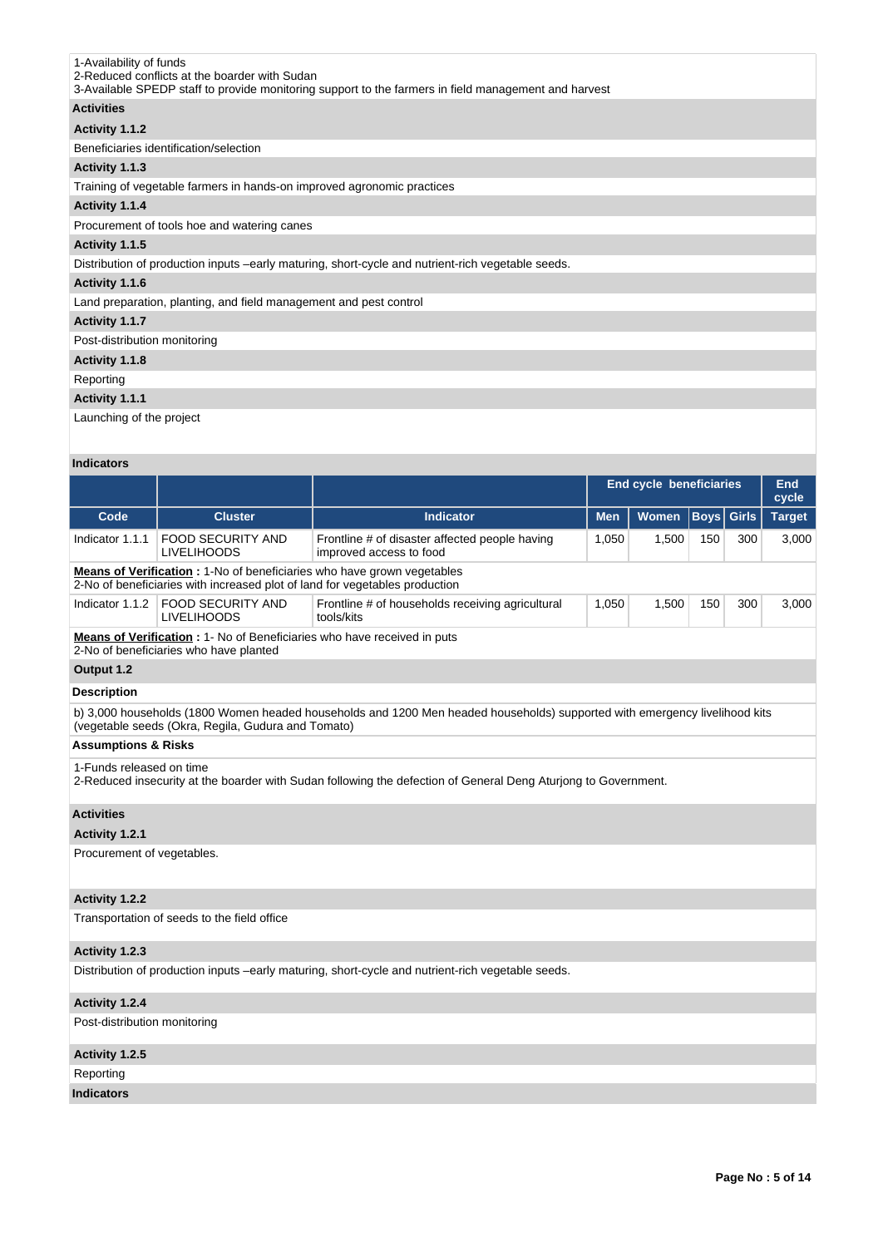| 1-Availability of funds<br>2-Reduced conflicts at the boarder with Sudan<br>3-Available SPEDP staff to provide monitoring support to the farmers in field management and harvest |
|----------------------------------------------------------------------------------------------------------------------------------------------------------------------------------|
| <b>Activities</b>                                                                                                                                                                |
| Activity 1.1.2                                                                                                                                                                   |
| Beneficiaries identification/selection                                                                                                                                           |
| Activity 1.1.3                                                                                                                                                                   |
| Training of vegetable farmers in hands-on improved agronomic practices                                                                                                           |
| Activity 1.1.4                                                                                                                                                                   |
| Procurement of tools hoe and watering canes                                                                                                                                      |
| Activity 1.1.5                                                                                                                                                                   |
| Distribution of production inputs -early maturing, short-cycle and nutrient-rich vegetable seeds.                                                                                |
| Activity 1.1.6                                                                                                                                                                   |
| Land preparation, planting, and field management and pest control                                                                                                                |
| Activity 1.1.7                                                                                                                                                                   |
| Post-distribution monitoring                                                                                                                                                     |
| Activity 1.1.8                                                                                                                                                                   |
| Reporting                                                                                                                                                                        |
|                                                                                                                                                                                  |

# **Activity 1.1.1**

Launching of the project

# **Indicators**

|                                |                                                                                                                                                       |                                                                                                                            | <b>End cycle beneficiaries</b> |       |                   |     | End<br>cycle  |  |
|--------------------------------|-------------------------------------------------------------------------------------------------------------------------------------------------------|----------------------------------------------------------------------------------------------------------------------------|--------------------------------|-------|-------------------|-----|---------------|--|
| Code                           | <b>Cluster</b>                                                                                                                                        | <b>Indicator</b>                                                                                                           | <b>Men</b>                     | Women | <b>Boys</b> Girls |     | <b>Target</b> |  |
| Indicator 1.1.1                | <b>FOOD SECURITY AND</b><br><b>LIVELIHOODS</b>                                                                                                        | Frontline # of disaster affected people having<br>improved access to food                                                  | 1,050                          | 1,500 | 150               | 300 | 3,000         |  |
|                                | Means of Verification: 1-No of beneficiaries who have grown vegetables<br>2-No of beneficiaries with increased plot of land for vegetables production |                                                                                                                            |                                |       |                   |     |               |  |
| Indicator 1.1.2                | <b>FOOD SECURITY AND</b><br><b>LIVELIHOODS</b>                                                                                                        | Frontline # of households receiving agricultural<br>tools/kits                                                             | 1,050                          | 1,500 | 150               | 300 | 3,000         |  |
|                                | <b>Means of Verification : 1- No of Beneficiaries who have received in puts</b><br>2-No of beneficiaries who have planted                             |                                                                                                                            |                                |       |                   |     |               |  |
| Output 1.2                     |                                                                                                                                                       |                                                                                                                            |                                |       |                   |     |               |  |
| <b>Description</b>             |                                                                                                                                                       |                                                                                                                            |                                |       |                   |     |               |  |
|                                | (vegetable seeds (Okra, Regila, Gudura and Tomato)                                                                                                    | b) 3,000 households (1800 Women headed households and 1200 Men headed households) supported with emergency livelihood kits |                                |       |                   |     |               |  |
| <b>Assumptions &amp; Risks</b> |                                                                                                                                                       |                                                                                                                            |                                |       |                   |     |               |  |
| 1-Funds released on time       |                                                                                                                                                       | 2-Reduced insecurity at the boarder with Sudan following the defection of General Deng Aturiong to Government.             |                                |       |                   |     |               |  |
| <b>Activities</b>              |                                                                                                                                                       |                                                                                                                            |                                |       |                   |     |               |  |
| Activity 1.2.1                 |                                                                                                                                                       |                                                                                                                            |                                |       |                   |     |               |  |
| Procurement of vegetables.     |                                                                                                                                                       |                                                                                                                            |                                |       |                   |     |               |  |
| Activity 1.2.2                 |                                                                                                                                                       |                                                                                                                            |                                |       |                   |     |               |  |
|                                | Transportation of seeds to the field office                                                                                                           |                                                                                                                            |                                |       |                   |     |               |  |
| Activity 1.2.3                 |                                                                                                                                                       |                                                                                                                            |                                |       |                   |     |               |  |
|                                |                                                                                                                                                       | Distribution of production inputs -early maturing, short-cycle and nutrient-rich vegetable seeds.                          |                                |       |                   |     |               |  |
| Activity 1.2.4                 |                                                                                                                                                       |                                                                                                                            |                                |       |                   |     |               |  |
| Post-distribution monitoring   |                                                                                                                                                       |                                                                                                                            |                                |       |                   |     |               |  |

**Activity 1.2.5**  Reporting

**Indicators**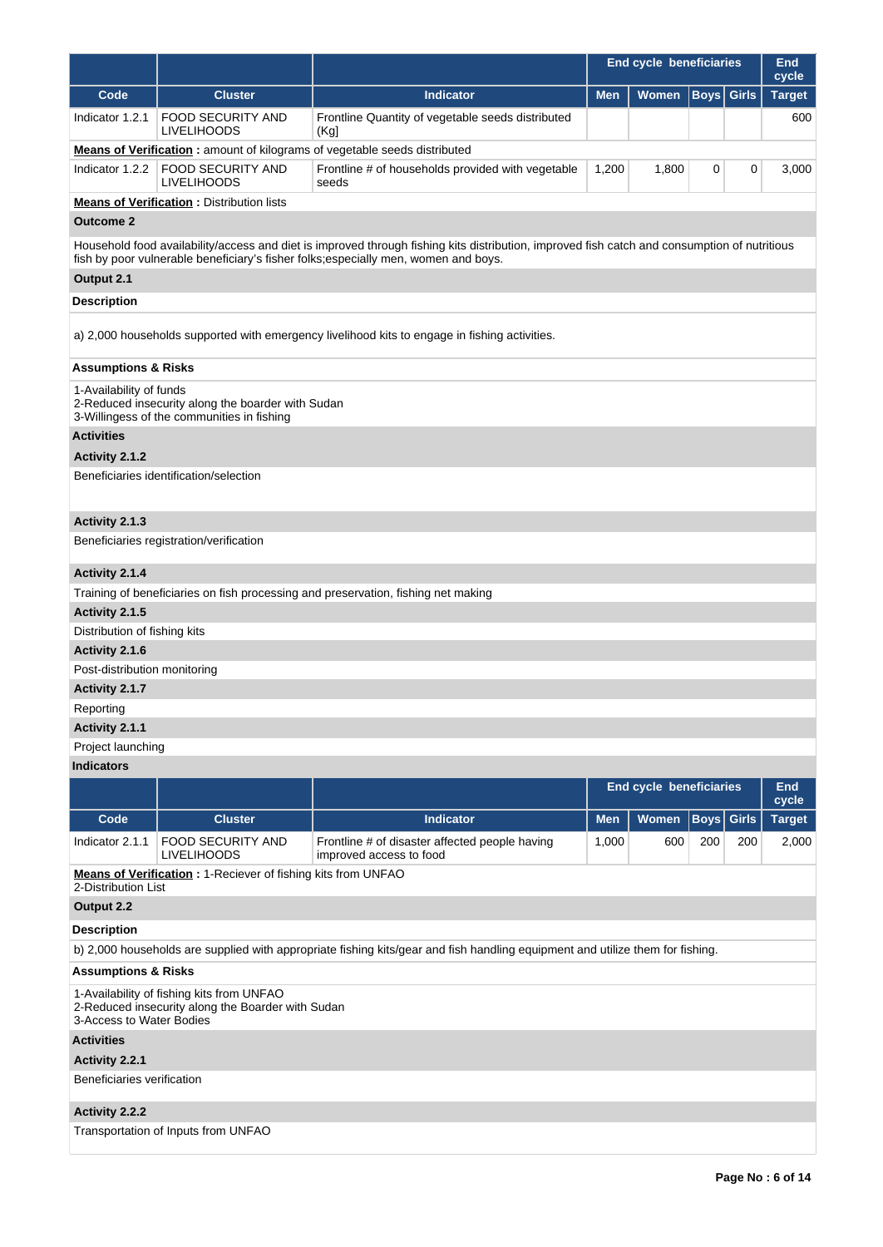|                                |                                                                                                 |                                                                                                                                                                                                                                     | <b>End cycle beneficiaries</b> |                         |             | <b>End</b><br>cycle |               |
|--------------------------------|-------------------------------------------------------------------------------------------------|-------------------------------------------------------------------------------------------------------------------------------------------------------------------------------------------------------------------------------------|--------------------------------|-------------------------|-------------|---------------------|---------------|
| Code                           | <b>Cluster</b>                                                                                  | <b>Indicator</b>                                                                                                                                                                                                                    | <b>Men</b>                     | Women                   | <b>Boys</b> | <b>Girls</b>        | <b>Target</b> |
| Indicator 1.2.1                | <b>FOOD SECURITY AND</b><br><b>LIVELIHOODS</b>                                                  | Frontline Quantity of vegetable seeds distributed<br>(Kgl)                                                                                                                                                                          |                                |                         |             |                     | 600           |
|                                |                                                                                                 | <b>Means of Verification:</b> amount of kilograms of vegetable seeds distributed                                                                                                                                                    |                                |                         |             |                     |               |
| Indicator $1.2.2$              | <b>FOOD SECURITY AND</b><br><b>LIVELIHOODS</b>                                                  | Frontline # of households provided with vegetable<br>seeds                                                                                                                                                                          | 1,200                          | 1,800                   | 0           | 0                   | 3,000         |
|                                | <b>Means of Verification:</b> Distribution lists                                                |                                                                                                                                                                                                                                     |                                |                         |             |                     |               |
| <b>Outcome 2</b>               |                                                                                                 |                                                                                                                                                                                                                                     |                                |                         |             |                     |               |
|                                |                                                                                                 | Household food availability/access and diet is improved through fishing kits distribution, improved fish catch and consumption of nutritious<br>fish by poor vulnerable beneficiary's fisher folks; especially men, women and boys. |                                |                         |             |                     |               |
| Output 2.1                     |                                                                                                 |                                                                                                                                                                                                                                     |                                |                         |             |                     |               |
| <b>Description</b>             |                                                                                                 |                                                                                                                                                                                                                                     |                                |                         |             |                     |               |
|                                |                                                                                                 | a) 2,000 households supported with emergency livelihood kits to engage in fishing activities.                                                                                                                                       |                                |                         |             |                     |               |
| <b>Assumptions &amp; Risks</b> |                                                                                                 |                                                                                                                                                                                                                                     |                                |                         |             |                     |               |
| 1-Availability of funds        |                                                                                                 |                                                                                                                                                                                                                                     |                                |                         |             |                     |               |
|                                | 2-Reduced insecurity along the boarder with Sudan<br>3-Willingess of the communities in fishing |                                                                                                                                                                                                                                     |                                |                         |             |                     |               |
| <b>Activities</b>              |                                                                                                 |                                                                                                                                                                                                                                     |                                |                         |             |                     |               |
| Activity 2.1.2                 |                                                                                                 |                                                                                                                                                                                                                                     |                                |                         |             |                     |               |
|                                | Beneficiaries identification/selection                                                          |                                                                                                                                                                                                                                     |                                |                         |             |                     |               |
| Activity 2.1.3                 |                                                                                                 |                                                                                                                                                                                                                                     |                                |                         |             |                     |               |
|                                | Beneficiaries registration/verification                                                         |                                                                                                                                                                                                                                     |                                |                         |             |                     |               |
| Activity 2.1.4                 |                                                                                                 |                                                                                                                                                                                                                                     |                                |                         |             |                     |               |
|                                |                                                                                                 | Training of beneficiaries on fish processing and preservation, fishing net making                                                                                                                                                   |                                |                         |             |                     |               |
| Activity 2.1.5                 |                                                                                                 |                                                                                                                                                                                                                                     |                                |                         |             |                     |               |
| Distribution of fishing kits   |                                                                                                 |                                                                                                                                                                                                                                     |                                |                         |             |                     |               |
| Activity 2.1.6                 |                                                                                                 |                                                                                                                                                                                                                                     |                                |                         |             |                     |               |
| Post-distribution monitoring   |                                                                                                 |                                                                                                                                                                                                                                     |                                |                         |             |                     |               |
| Activity 2.1.7                 |                                                                                                 |                                                                                                                                                                                                                                     |                                |                         |             |                     |               |
| Reporting                      |                                                                                                 |                                                                                                                                                                                                                                     |                                |                         |             |                     |               |
| Activity 2.1.1                 |                                                                                                 |                                                                                                                                                                                                                                     |                                |                         |             |                     |               |
| Project launching              |                                                                                                 |                                                                                                                                                                                                                                     |                                |                         |             |                     |               |
| <b>Indicators</b>              |                                                                                                 |                                                                                                                                                                                                                                     |                                |                         |             |                     |               |
|                                |                                                                                                 |                                                                                                                                                                                                                                     |                                | End cycle beneficiaries |             |                     | End<br>cycle  |
| Code                           | <b>Cluster</b>                                                                                  | <b>Indicator</b>                                                                                                                                                                                                                    | <b>Men</b>                     | <b>Women</b>            | <b>Boys</b> | <b>Girls</b>        | <b>Target</b> |
| Indicator 2.1.1                | <b>FOOD SECURITY AND</b><br><b>LIVELIHOODS</b>                                                  | Frontline # of disaster affected people having<br>improved access to food                                                                                                                                                           | 1,000                          | 600                     | 200         | 200                 | 2,000         |
| 2-Distribution List            | <b>Means of Verification: 1-Reciever of fishing kits from UNFAO</b>                             |                                                                                                                                                                                                                                     |                                |                         |             |                     |               |
| Output 2.2                     |                                                                                                 |                                                                                                                                                                                                                                     |                                |                         |             |                     |               |
| <b>Description</b>             |                                                                                                 |                                                                                                                                                                                                                                     |                                |                         |             |                     |               |
|                                |                                                                                                 | b) 2,000 households are supplied with appropriate fishing kits/gear and fish handling equipment and utilize them for fishing.                                                                                                       |                                |                         |             |                     |               |
| <b>Assumptions &amp; Risks</b> |                                                                                                 |                                                                                                                                                                                                                                     |                                |                         |             |                     |               |
| 3-Access to Water Bodies       | 1-Availability of fishing kits from UNFAO<br>2-Reduced insecurity along the Boarder with Sudan  |                                                                                                                                                                                                                                     |                                |                         |             |                     |               |
| <b>Activities</b>              |                                                                                                 |                                                                                                                                                                                                                                     |                                |                         |             |                     |               |
| Activity 2.2.1                 |                                                                                                 |                                                                                                                                                                                                                                     |                                |                         |             |                     |               |
| Beneficiaries verification     |                                                                                                 |                                                                                                                                                                                                                                     |                                |                         |             |                     |               |

# **Activity 2.2.2**

Transportation of Inputs from UNFAO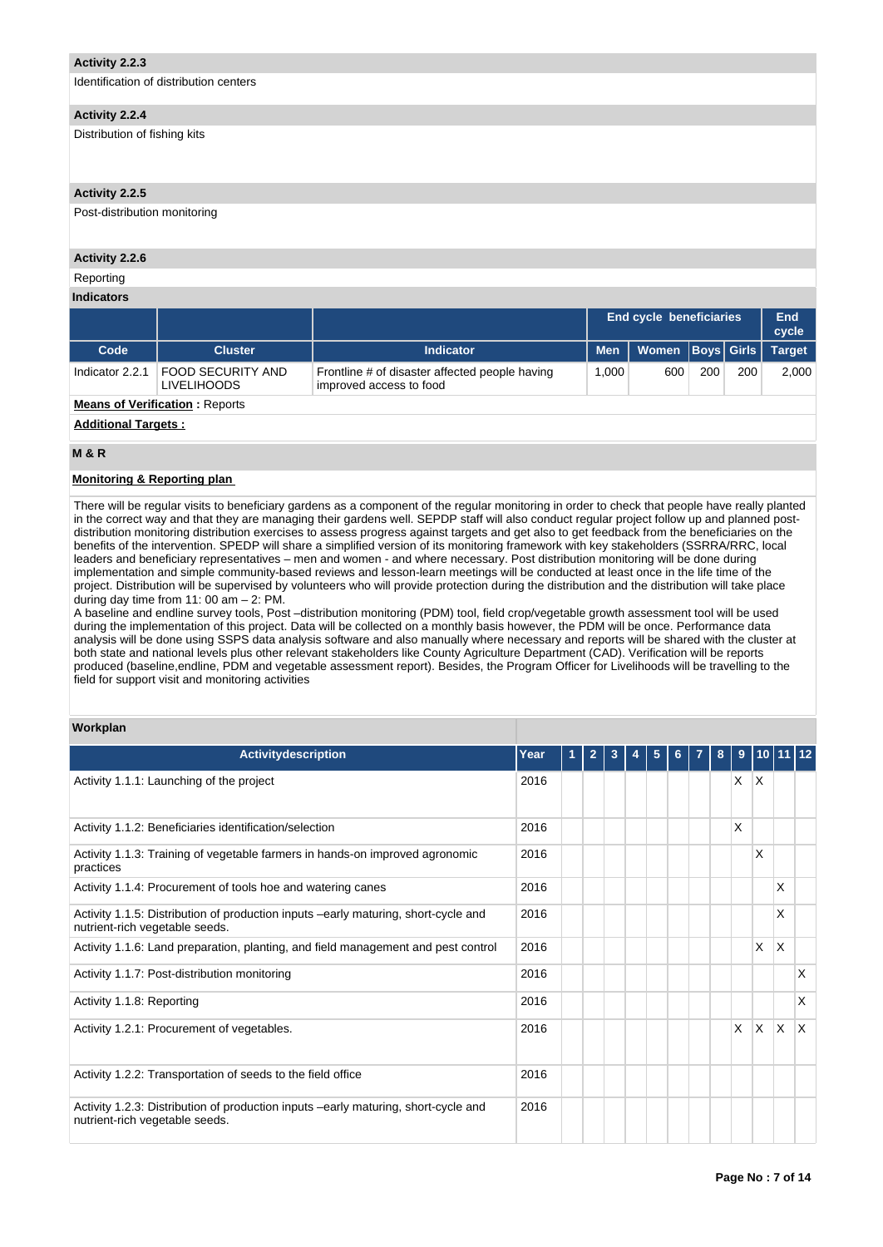## **Activity 2.2.3**

Identification of distribution centers

## **Activity 2.2.4**

Distribution of fishing kits

## **Activity 2.2.5**

Post-distribution monitoring

## **Activity 2.2.6**

## Reporting

**Indicators**

|                 |                                                |                                                                           | <b>End cycle beneficiaries</b> | End<br>cycle               |     |     |               |
|-----------------|------------------------------------------------|---------------------------------------------------------------------------|--------------------------------|----------------------------|-----|-----|---------------|
| Code            | <b>Cluster</b>                                 | <b>Indicator</b>                                                          |                                | Men   Women   Boys   Girls |     |     | <b>Target</b> |
| Indicator 2.2.1 | <b>FOOD SECURITY AND</b><br><b>LIVELIHOODS</b> | Frontline # of disaster affected people having<br>improved access to food | 1.000                          | 600                        | 200 | 200 | 2,000         |

## **Means of Verification: Reports**

## **Additional Targets :**

## **M & R**

## **Monitoring & Reporting plan**

There will be regular visits to beneficiary gardens as a component of the regular monitoring in order to check that people have really planted in the correct way and that they are managing their gardens well. SEPDP staff will also conduct regular project follow up and planned postdistribution monitoring distribution exercises to assess progress against targets and get also to get feedback from the beneficiaries on the benefits of the intervention. SPEDP will share a simplified version of its monitoring framework with key stakeholders (SSRRA/RRC, local leaders and beneficiary representatives – men and women - and where necessary. Post distribution monitoring will be done during implementation and simple community-based reviews and lesson-learn meetings will be conducted at least once in the life time of the project. Distribution will be supervised by volunteers who will provide protection during the distribution and the distribution will take place during day time from 11: 00 am – 2: PM.

A baseline and endline survey tools, Post –distribution monitoring (PDM) tool, field crop/vegetable growth assessment tool will be used during the implementation of this project. Data will be collected on a monthly basis however, the PDM will be once. Performance data analysis will be done using SSPS data analysis software and also manually where necessary and reports will be shared with the cluster at both state and national levels plus other relevant stakeholders like County Agriculture Department (CAD). Verification will be reports produced (baseline,endline, PDM and vegetable assessment report). Besides, the Program Officer for Livelihoods will be travelling to the field for support visit and monitoring activities

## **Workplan**

| <b>Activitydescription</b>                                                                                           | Year |  | $\overline{2}$ | 3 |  | 5 | 6. | 8 | 9  |          | $10$  11 12 |     |
|----------------------------------------------------------------------------------------------------------------------|------|--|----------------|---|--|---|----|---|----|----------|-------------|-----|
| Activity 1.1.1: Launching of the project                                                                             | 2016 |  |                |   |  |   |    |   | X. | X        |             |     |
| Activity 1.1.2: Beneficiaries identification/selection                                                               | 2016 |  |                |   |  |   |    |   | X  |          |             |     |
| Activity 1.1.3: Training of vegetable farmers in hands-on improved agronomic<br>practices                            | 2016 |  |                |   |  |   |    |   |    | X        |             |     |
| Activity 1.1.4: Procurement of tools hoe and watering canes                                                          | 2016 |  |                |   |  |   |    |   |    |          | X           |     |
| Activity 1.1.5: Distribution of production inputs -early maturing, short-cycle and<br>nutrient-rich vegetable seeds. | 2016 |  |                |   |  |   |    |   |    |          | X           |     |
| Activity 1.1.6: Land preparation, planting, and field management and pest control                                    | 2016 |  |                |   |  |   |    |   |    | X        | X           |     |
| Activity 1.1.7: Post-distribution monitoring                                                                         | 2016 |  |                |   |  |   |    |   |    |          |             | X   |
| Activity 1.1.8: Reporting                                                                                            | 2016 |  |                |   |  |   |    |   |    |          |             | X   |
| Activity 1.2.1: Procurement of vegetables.                                                                           | 2016 |  |                |   |  |   |    |   | X. | $\times$ | ΙX.         | ΙX. |
| Activity 1.2.2: Transportation of seeds to the field office                                                          | 2016 |  |                |   |  |   |    |   |    |          |             |     |
| Activity 1.2.3: Distribution of production inputs -early maturing, short-cycle and<br>nutrient-rich vegetable seeds. | 2016 |  |                |   |  |   |    |   |    |          |             |     |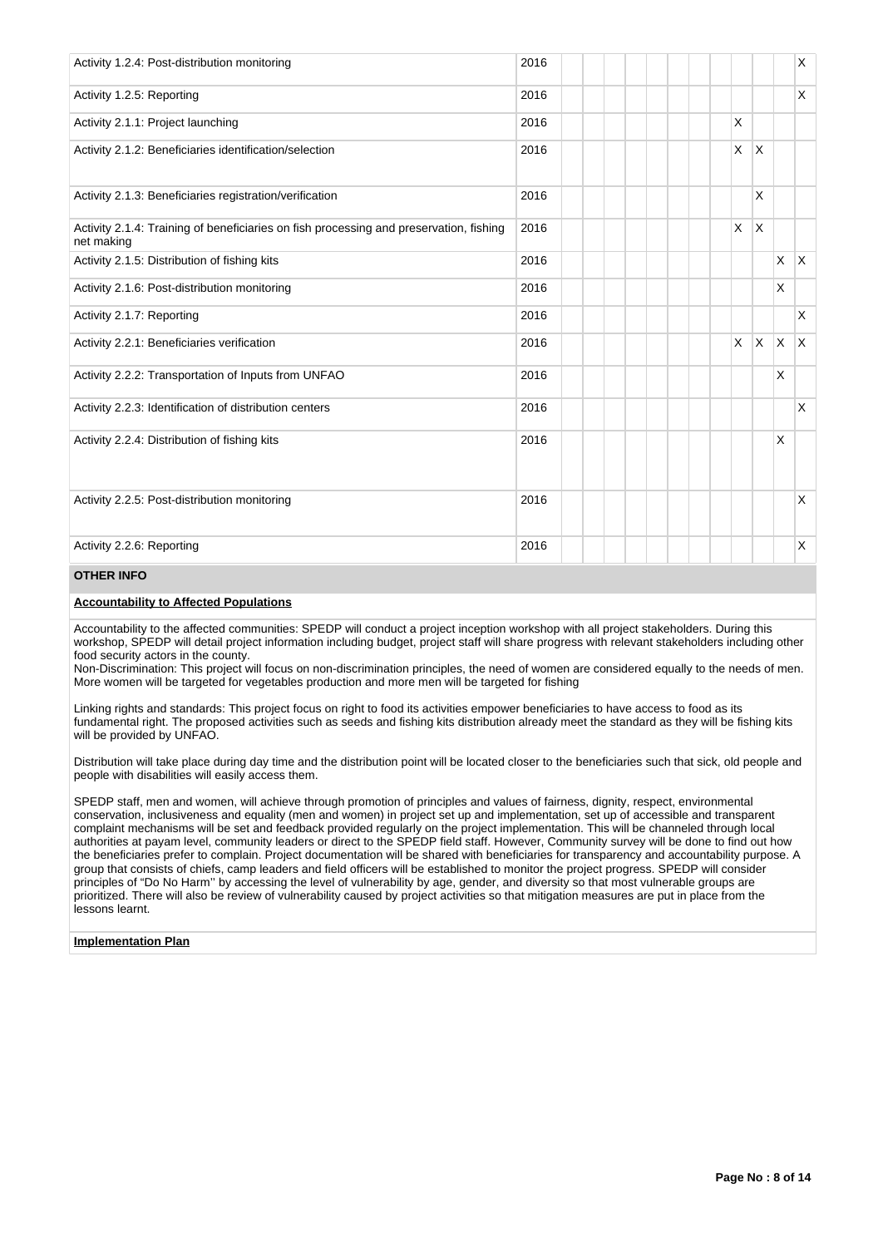| Activity 1.2.4: Post-distribution monitoring                                                         | 2016 |          |              |          | X            |
|------------------------------------------------------------------------------------------------------|------|----------|--------------|----------|--------------|
| Activity 1.2.5: Reporting                                                                            | 2016 |          |              |          | X            |
| Activity 2.1.1: Project launching                                                                    | 2016 | $\times$ |              |          |              |
| Activity 2.1.2: Beneficiaries identification/selection                                               | 2016 | $\times$ | ΙX.          |          |              |
| Activity 2.1.3: Beneficiaries registration/verification                                              | 2016 |          | X            |          |              |
| Activity 2.1.4: Training of beneficiaries on fish processing and preservation, fishing<br>net making | 2016 | <b>X</b> | $\mathsf{X}$ |          |              |
| Activity 2.1.5: Distribution of fishing kits                                                         | 2016 |          |              | X        | ΙX.          |
| Activity 2.1.6: Post-distribution monitoring                                                         | 2016 |          |              | $\times$ |              |
| Activity 2.1.7: Reporting                                                                            | 2016 |          |              |          | X            |
| Activity 2.2.1: Beneficiaries verification                                                           | 2016 | $\times$ | <b>X</b>     | X.       | $\mathsf{X}$ |
| Activity 2.2.2: Transportation of Inputs from UNFAO                                                  | 2016 |          |              | X        |              |
| Activity 2.2.3: Identification of distribution centers                                               | 2016 |          |              |          | X            |
| Activity 2.2.4: Distribution of fishing kits                                                         | 2016 |          |              | $\times$ |              |
| Activity 2.2.5: Post-distribution monitoring                                                         | 2016 |          |              |          | X            |
| Activity 2.2.6: Reporting                                                                            | 2016 |          |              |          | X            |

## **OTHER INFO**

## **Accountability to Affected Populations**

Accountability to the affected communities: SPEDP will conduct a project inception workshop with all project stakeholders. During this workshop, SPEDP will detail project information including budget, project staff will share progress with relevant stakeholders including other food security actors in the county.

Non-Discrimination: This project will focus on non-discrimination principles, the need of women are considered equally to the needs of men. More women will be targeted for vegetables production and more men will be targeted for fishing

Linking rights and standards: This project focus on right to food its activities empower beneficiaries to have access to food as its fundamental right. The proposed activities such as seeds and fishing kits distribution already meet the standard as they will be fishing kits will be provided by UNFAO.

Distribution will take place during day time and the distribution point will be located closer to the beneficiaries such that sick, old people and people with disabilities will easily access them.

SPEDP staff, men and women, will achieve through promotion of principles and values of fairness, dignity, respect, environmental conservation, inclusiveness and equality (men and women) in project set up and implementation, set up of accessible and transparent complaint mechanisms will be set and feedback provided regularly on the project implementation. This will be channeled through local authorities at payam level, community leaders or direct to the SPEDP field staff. However, Community survey will be done to find out how the beneficiaries prefer to complain. Project documentation will be shared with beneficiaries for transparency and accountability purpose. A group that consists of chiefs, camp leaders and field officers will be established to monitor the project progress. SPEDP will consider principles of "Do No Harm'' by accessing the level of vulnerability by age, gender, and diversity so that most vulnerable groups are prioritized. There will also be review of vulnerability caused by project activities so that mitigation measures are put in place from the lessons learnt.

## **Implementation Plan**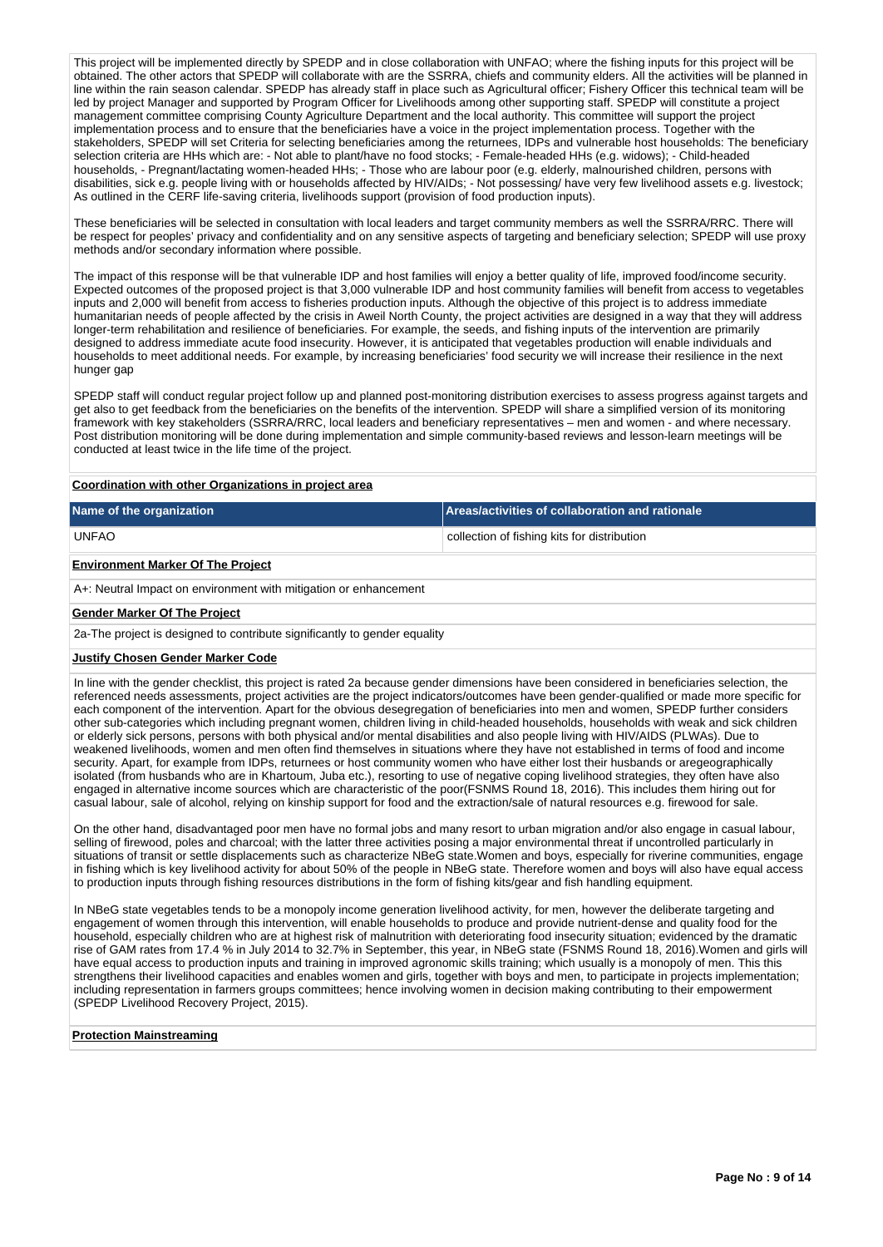This project will be implemented directly by SPEDP and in close collaboration with UNFAO; where the fishing inputs for this project will be obtained. The other actors that SPEDP will collaborate with are the SSRRA, chiefs and community elders. All the activities will be planned in line within the rain season calendar. SPEDP has already staff in place such as Agricultural officer; Fishery Officer this technical team will be led by project Manager and supported by Program Officer for Livelihoods among other supporting staff. SPEDP will constitute a project management committee comprising County Agriculture Department and the local authority. This committee will support the project implementation process and to ensure that the beneficiaries have a voice in the project implementation process. Together with the stakeholders, SPEDP will set Criteria for selecting beneficiaries among the returnees, IDPs and vulnerable host households: The beneficiary selection criteria are HHs which are: - Not able to plant/have no food stocks; - Female-headed HHs (e.g. widows); - Child-headed households, - Pregnant/lactating women-headed HHs; - Those who are labour poor (e.g. elderly, malnourished children, persons with disabilities, sick e.g. people living with or households affected by HIV/AIDs; - Not possessing/ have very few livelihood assets e.g. livestock; As outlined in the CERF life-saving criteria, livelihoods support (provision of food production inputs).

These beneficiaries will be selected in consultation with local leaders and target community members as well the SSRRA/RRC. There will be respect for peoples' privacy and confidentiality and on any sensitive aspects of targeting and beneficiary selection; SPEDP will use proxy methods and/or secondary information where possible.

The impact of this response will be that vulnerable IDP and host families will enjoy a better quality of life, improved food/income security. Expected outcomes of the proposed project is that 3,000 vulnerable IDP and host community families will benefit from access to vegetables inputs and 2,000 will benefit from access to fisheries production inputs. Although the objective of this project is to address immediate humanitarian needs of people affected by the crisis in Aweil North County, the project activities are designed in a way that they will address longer-term rehabilitation and resilience of beneficiaries. For example, the seeds, and fishing inputs of the intervention are primarily designed to address immediate acute food insecurity. However, it is anticipated that vegetables production will enable individuals and households to meet additional needs. For example, by increasing beneficiaries' food security we will increase their resilience in the next hunger gap

SPEDP staff will conduct regular project follow up and planned post-monitoring distribution exercises to assess progress against targets and get also to get feedback from the beneficiaries on the benefits of the intervention. SPEDP will share a simplified version of its monitoring framework with key stakeholders (SSRRA/RRC, local leaders and beneficiary representatives – men and women - and where necessary. Post distribution monitoring will be done during implementation and simple community-based reviews and lesson-learn meetings will be conducted at least twice in the life time of the project.

#### **Coordination with other Organizations in project area**

| Name of the organization | Areas/activities of collaboration and rationale |
|--------------------------|-------------------------------------------------|
| <b>UNFAO</b>             | collection of fishing kits for distribution     |

## **Environment Marker Of The Project**

A+: Neutral Impact on environment with mitigation or enhancement

#### **Gender Marker Of The Project**

2a-The project is designed to contribute significantly to gender equality

#### **Justify Chosen Gender Marker Code**

In line with the gender checklist, this project is rated 2a because gender dimensions have been considered in beneficiaries selection, the referenced needs assessments, project activities are the project indicators/outcomes have been gender-qualified or made more specific for each component of the intervention. Apart for the obvious desegregation of beneficiaries into men and women, SPEDP further considers other sub-categories which including pregnant women, children living in child-headed households, households with weak and sick children or elderly sick persons, persons with both physical and/or mental disabilities and also people living with HIV/AIDS (PLWAs). Due to weakened livelihoods, women and men often find themselves in situations where they have not established in terms of food and income security. Apart, for example from IDPs, returnees or host community women who have either lost their husbands or aregeographically isolated (from husbands who are in Khartoum, Juba etc.), resorting to use of negative coping livelihood strategies, they often have also engaged in alternative income sources which are characteristic of the poor(FSNMS Round 18, 2016). This includes them hiring out for casual labour, sale of alcohol, relying on kinship support for food and the extraction/sale of natural resources e.g. firewood for sale.

On the other hand, disadvantaged poor men have no formal jobs and many resort to urban migration and/or also engage in casual labour, selling of firewood, poles and charcoal; with the latter three activities posing a major environmental threat if uncontrolled particularly in situations of transit or settle displacements such as characterize NBeG state.Women and boys, especially for riverine communities, engage in fishing which is key livelihood activity for about 50% of the people in NBeG state. Therefore women and boys will also have equal access to production inputs through fishing resources distributions in the form of fishing kits/gear and fish handling equipment.

In NBeG state vegetables tends to be a monopoly income generation livelihood activity, for men, however the deliberate targeting and engagement of women through this intervention, will enable households to produce and provide nutrient-dense and quality food for the household, especially children who are at highest risk of malnutrition with deteriorating food insecurity situation; evidenced by the dramatic rise of GAM rates from 17.4 % in July 2014 to 32.7% in September, this year, in NBeG state (FSNMS Round 18, 2016).Women and girls will have equal access to production inputs and training in improved agronomic skills training; which usually is a monopoly of men. This this strengthens their livelihood capacities and enables women and girls, together with boys and men, to participate in projects implementation; including representation in farmers groups committees; hence involving women in decision making contributing to their empowerment (SPEDP Livelihood Recovery Project, 2015).

#### **Protection Mainstreaming**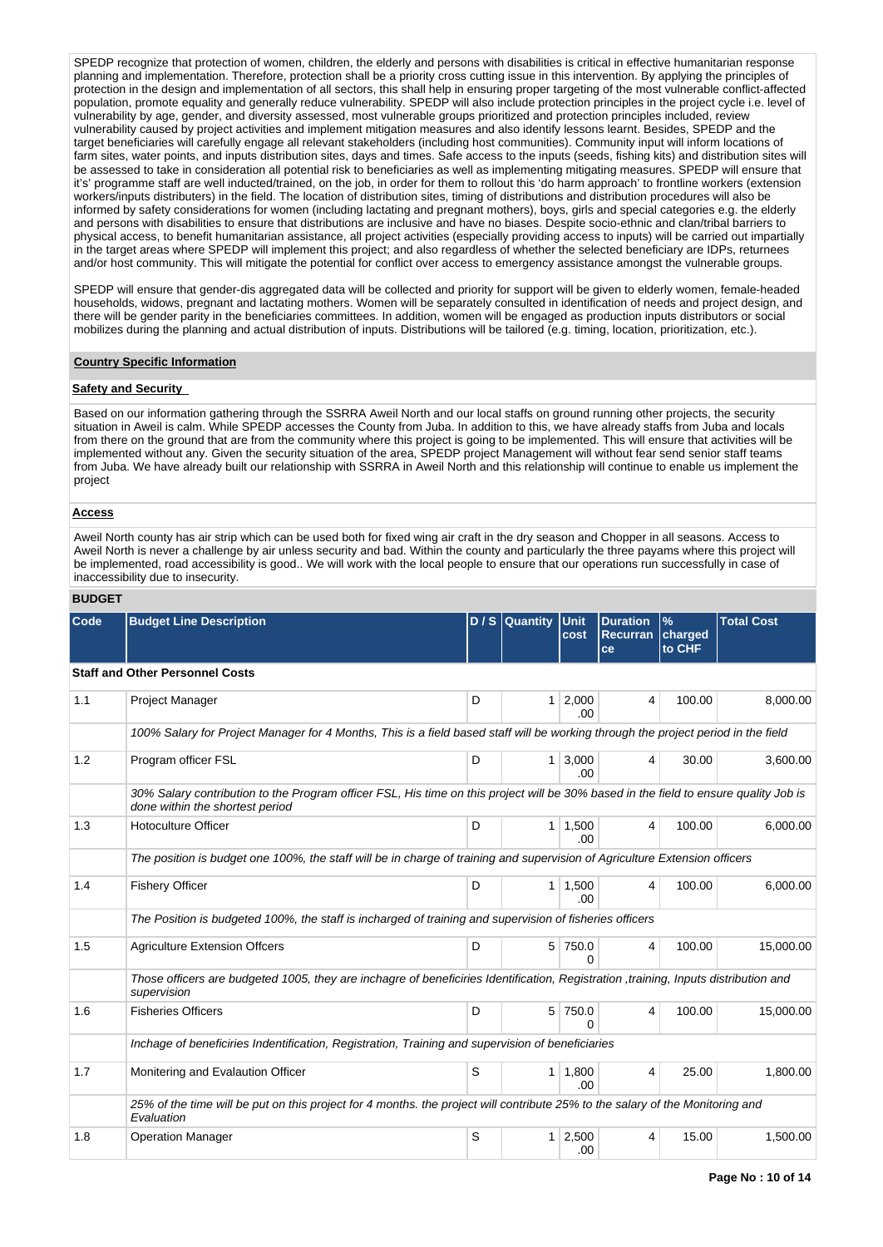SPEDP recognize that protection of women, children, the elderly and persons with disabilities is critical in effective humanitarian response planning and implementation. Therefore, protection shall be a priority cross cutting issue in this intervention. By applying the principles of protection in the design and implementation of all sectors, this shall help in ensuring proper targeting of the most vulnerable conflict-affected population, promote equality and generally reduce vulnerability. SPEDP will also include protection principles in the project cycle i.e. level of vulnerability by age, gender, and diversity assessed, most vulnerable groups prioritized and protection principles included, review vulnerability caused by project activities and implement mitigation measures and also identify lessons learnt. Besides, SPEDP and the target beneficiaries will carefully engage all relevant stakeholders (including host communities). Community input will inform locations of farm sites, water points, and inputs distribution sites, days and times. Safe access to the inputs (seeds, fishing kits) and distribution sites will be assessed to take in consideration all potential risk to beneficiaries as well as implementing mitigating measures. SPEDP will ensure that it's' programme staff are well inducted/trained, on the job, in order for them to rollout this 'do harm approach' to frontline workers (extension workers/inputs distributers) in the field. The location of distribution sites, timing of distributions and distribution procedures will also be informed by safety considerations for women (including lactating and pregnant mothers), boys, girls and special categories e.g. the elderly and persons with disabilities to ensure that distributions are inclusive and have no biases. Despite socio-ethnic and clan/tribal barriers to physical access, to benefit humanitarian assistance, all project activities (especially providing access to inputs) will be carried out impartially in the target areas where SPEDP will implement this project; and also regardless of whether the selected beneficiary are IDPs, returnees and/or host community. This will mitigate the potential for conflict over access to emergency assistance amongst the vulnerable groups.

SPEDP will ensure that gender-dis aggregated data will be collected and priority for support will be given to elderly women, female-headed households, widows, pregnant and lactating mothers. Women will be separately consulted in identification of needs and project design, and there will be gender parity in the beneficiaries committees. In addition, women will be engaged as production inputs distributors or social mobilizes during the planning and actual distribution of inputs. Distributions will be tailored (e.g. timing, location, prioritization, etc.).

## **Country Specific Information**

#### **Safety and Security**

Based on our information gathering through the SSRRA Aweil North and our local staffs on ground running other projects, the security situation in Aweil is calm. While SPEDP accesses the County from Juba. In addition to this, we have already staffs from Juba and locals from there on the ground that are from the community where this project is going to be implemented. This will ensure that activities will be implemented without any. Given the security situation of the area, SPEDP project Management will without fear send senior staff teams from Juba. We have already built our relationship with SSRRA in Aweil North and this relationship will continue to enable us implement the project

#### **Access**

Aweil North county has air strip which can be used both for fixed wing air craft in the dry season and Chopper in all seasons. Access to Aweil North is never a challenge by air unless security and bad. Within the county and particularly the three payams where this project will be implemented, road accessibility is good.. We will work with the local people to ensure that our operations run successfully in case of inaccessibility due to insecurity.

### **BUDGET**

| Code | <b>Budget Line Description</b>                                                                                                                                          |   | $D / S$ Quantity | <b>Unit</b>       | <b>Duration</b>       | $\frac{9}{6}$     | <b>Total Cost</b> |  |  |
|------|-------------------------------------------------------------------------------------------------------------------------------------------------------------------------|---|------------------|-------------------|-----------------------|-------------------|-------------------|--|--|
|      |                                                                                                                                                                         |   |                  | cost              | <b>Recurran</b><br>ce | charged<br>to CHF |                   |  |  |
|      | <b>Staff and Other Personnel Costs</b>                                                                                                                                  |   |                  |                   |                       |                   |                   |  |  |
| 1.1  | Project Manager                                                                                                                                                         | D | 1                | 2,000<br>.00      | 4                     | 100.00            | 8,000.00          |  |  |
|      | 100% Salary for Project Manager for 4 Months, This is a field based staff will be working through the project period in the field                                       |   |                  |                   |                       |                   |                   |  |  |
| 1.2  | Program officer FSL                                                                                                                                                     | D | $\mathbf{1}$     | 3,000<br>.00      | 4                     | 30.00             | 3,600.00          |  |  |
|      | 30% Salary contribution to the Program officer FSL, His time on this project will be 30% based in the field to ensure quality Job is<br>done within the shortest period |   |                  |                   |                       |                   |                   |  |  |
| 1.3  | <b>Hotoculture Officer</b>                                                                                                                                              | D | 1                | 1,500<br>.00.     | 4                     | 100.00            | 6,000.00          |  |  |
|      | The position is budget one 100%, the staff will be in charge of training and supervision of Agriculture Extension officers                                              |   |                  |                   |                       |                   |                   |  |  |
| 1.4  | <b>Fishery Officer</b>                                                                                                                                                  | D | 1 <sup>1</sup>   | 1,500<br>.00.     | 4                     | 100.00            | 6,000.00          |  |  |
|      | The Position is budgeted 100%, the staff is incharged of training and supervision of fisheries officers                                                                 |   |                  |                   |                       |                   |                   |  |  |
| 1.5  | <b>Agriculture Extension Offcers</b>                                                                                                                                    | D | 5                | 750.0<br>$\Omega$ | 4                     | 100.00            | 15,000.00         |  |  |
|      | Those officers are budgeted 1005, they are inchagre of beneficiries Identification, Registration, training, Inputs distribution and<br>supervision                      |   |                  |                   |                       |                   |                   |  |  |
| 1.6  | <b>Fisheries Officers</b>                                                                                                                                               | D | 5                | 750.0<br>$\Omega$ | 4                     | 100.00            | 15,000.00         |  |  |
|      | Inchage of beneficiries Indentification, Registration, Training and supervision of beneficiaries                                                                        |   |                  |                   |                       |                   |                   |  |  |
| 1.7  | Monitering and Evalaution Officer                                                                                                                                       | S | 1.               | 1,800<br>.00.     | 4                     | 25.00             | 1,800.00          |  |  |
|      | 25% of the time will be put on this project for 4 months. the project will contribute 25% to the salary of the Monitoring and<br>Evaluation                             |   |                  |                   |                       |                   |                   |  |  |
| 1.8  | <b>Operation Manager</b>                                                                                                                                                | S | 1                | 2,500<br>.00      | 4                     | 15.00             | 1,500.00          |  |  |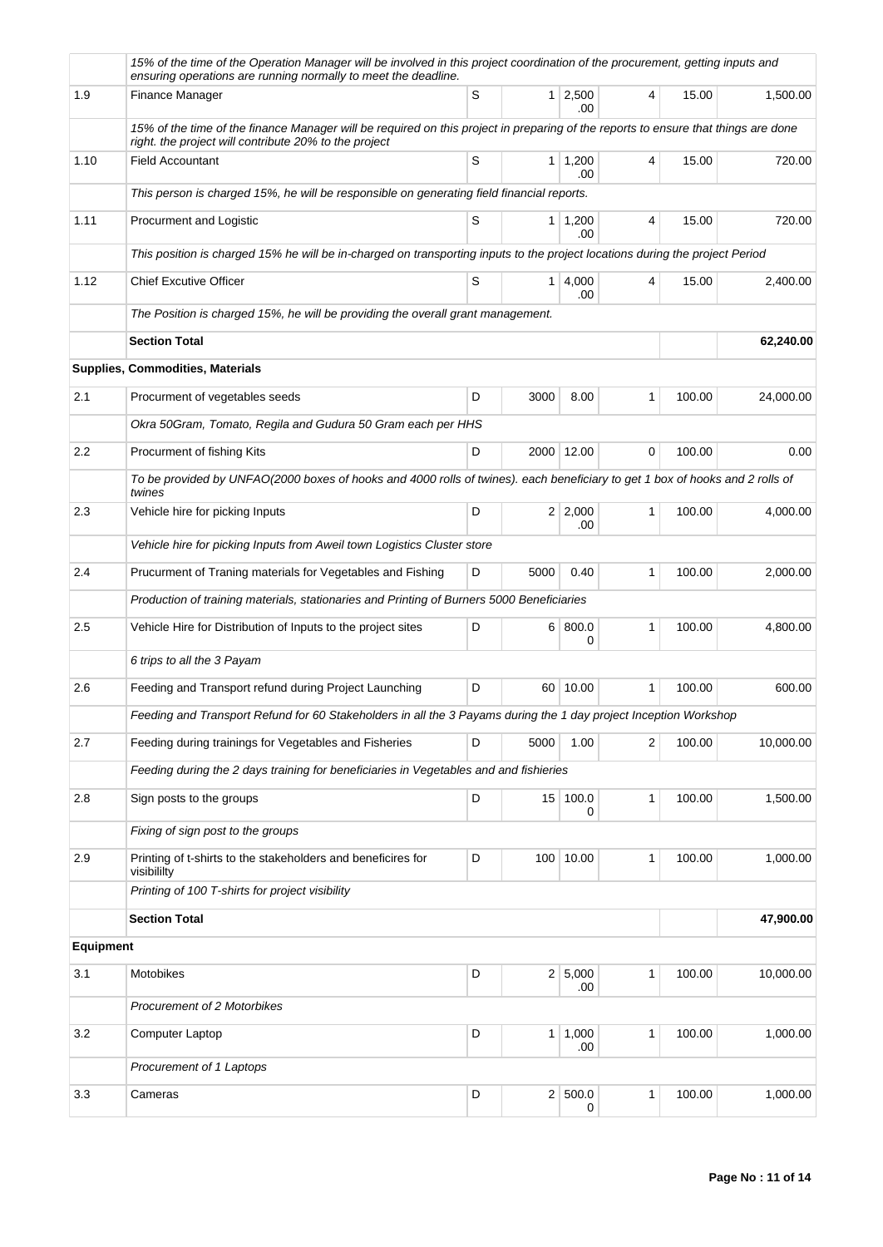|                  | 15% of the time of the Operation Manager will be involved in this project coordination of the procurement, getting inputs and<br>ensuring operations are running normally to meet the deadline. |   |      |                        |              |        |           |
|------------------|-------------------------------------------------------------------------------------------------------------------------------------------------------------------------------------------------|---|------|------------------------|--------------|--------|-----------|
| 1.9              | Finance Manager                                                                                                                                                                                 | S |      | $1 \mid 2,500$<br>.00. | 4            | 15.00  | 1,500.00  |
|                  | 15% of the time of the finance Manager will be required on this project in preparing of the reports to ensure that things are done<br>right. the project will contribute 20% to the project     |   |      |                        |              |        |           |
| 1.10             | <b>Field Accountant</b>                                                                                                                                                                         | S |      | $1 \mid 1,200$<br>.00  | 4            | 15.00  | 720.00    |
|                  | This person is charged 15%, he will be responsible on generating field financial reports.                                                                                                       |   |      |                        |              |        |           |
| 1.11             | Procurment and Logistic                                                                                                                                                                         | S |      | $1 \mid 1,200$<br>.00  | 4            | 15.00  | 720.00    |
|                  | This position is charged 15% he will be in-charged on transporting inputs to the project locations during the project Period                                                                    |   |      |                        |              |        |           |
| 1.12             | <b>Chief Excutive Officer</b>                                                                                                                                                                   | S | 1    | 4,000<br>.00           | 4            | 15.00  | 2,400.00  |
|                  | The Position is charged 15%, he will be providing the overall grant management.                                                                                                                 |   |      |                        |              |        |           |
|                  | <b>Section Total</b>                                                                                                                                                                            |   |      |                        |              |        | 62,240.00 |
|                  | Supplies, Commodities, Materials                                                                                                                                                                |   |      |                        |              |        |           |
| 2.1              | Procurment of vegetables seeds                                                                                                                                                                  | D | 3000 | 8.00                   | $\mathbf{1}$ | 100.00 | 24,000.00 |
|                  | Okra 50Gram, Tomato, Regila and Gudura 50 Gram each per HHS                                                                                                                                     |   |      |                        |              |        |           |
| $2.2\,$          | Procurment of fishing Kits                                                                                                                                                                      | D |      | 2000 12.00             | 0            | 100.00 | 0.00      |
|                  | To be provided by UNFAO(2000 boxes of hooks and 4000 rolls of twines). each beneficiary to get 1 box of hooks and 2 rolls of<br>twines                                                          |   |      |                        |              |        |           |
| 2.3              | Vehicle hire for picking Inputs                                                                                                                                                                 | D |      | $2 \mid 2,000$<br>.00  | 1            | 100.00 | 4,000.00  |
|                  | Vehicle hire for picking Inputs from Aweil town Logistics Cluster store                                                                                                                         |   |      |                        |              |        |           |
| 2.4              | Prucurment of Traning materials for Vegetables and Fishing                                                                                                                                      | D | 5000 | 0.40                   | $\mathbf{1}$ | 100.00 | 2,000.00  |
|                  | Production of training materials, stationaries and Printing of Burners 5000 Beneficiaries                                                                                                       |   |      |                        |              |        |           |
| 2.5              | Vehicle Hire for Distribution of Inputs to the project sites                                                                                                                                    | D |      | 6   800.0<br>0         | $\mathbf{1}$ | 100.00 | 4,800.00  |
|                  | 6 trips to all the 3 Payam                                                                                                                                                                      |   |      |                        |              |        |           |
| 2.6              | Feeding and Transport refund during Project Launching                                                                                                                                           | D |      | 60 10.00               | 1            | 100.00 | 600.00    |
|                  | Feeding and Transport Refund for 60 Stakeholders in all the 3 Payams during the 1 day project Inception Workshop                                                                                |   |      |                        |              |        |           |
| 2.7              | Feeding during trainings for Vegetables and Fisheries                                                                                                                                           | D | 5000 | 1.00                   | 2            | 100.00 | 10,000.00 |
|                  | Feeding during the 2 days training for beneficiaries in Vegetables and and fishieries                                                                                                           |   |      |                        |              |        |           |
| 2.8              | Sign posts to the groups                                                                                                                                                                        | D |      | 15 100.0<br>0          | 1            | 100.00 | 1,500.00  |
|                  | Fixing of sign post to the groups                                                                                                                                                               |   |      |                        |              |        |           |
| 2.9              | Printing of t-shirts to the stakeholders and beneficires for<br>visibililty                                                                                                                     | D |      | 100 10.00              | 1            | 100.00 | 1,000.00  |
|                  | Printing of 100 T-shirts for project visibility                                                                                                                                                 |   |      |                        |              |        |           |
|                  | <b>Section Total</b>                                                                                                                                                                            |   |      |                        |              |        | 47,900.00 |
| <b>Equipment</b> |                                                                                                                                                                                                 |   |      |                        |              |        |           |
| 3.1              | Motobikes                                                                                                                                                                                       | D |      | 2 5,000<br>.00         | $\mathbf{1}$ | 100.00 | 10,000.00 |
|                  | Procurement of 2 Motorbikes                                                                                                                                                                     |   |      |                        |              |        |           |
| 3.2              | Computer Laptop                                                                                                                                                                                 | D |      | $1 \mid 1,000$<br>.00  | 1            | 100.00 | 1,000.00  |
|                  | Procurement of 1 Laptops                                                                                                                                                                        |   |      |                        |              |        |           |
| 3.3              | Cameras                                                                                                                                                                                         | D |      | 2 500.0<br>0           | 1            | 100.00 | 1,000.00  |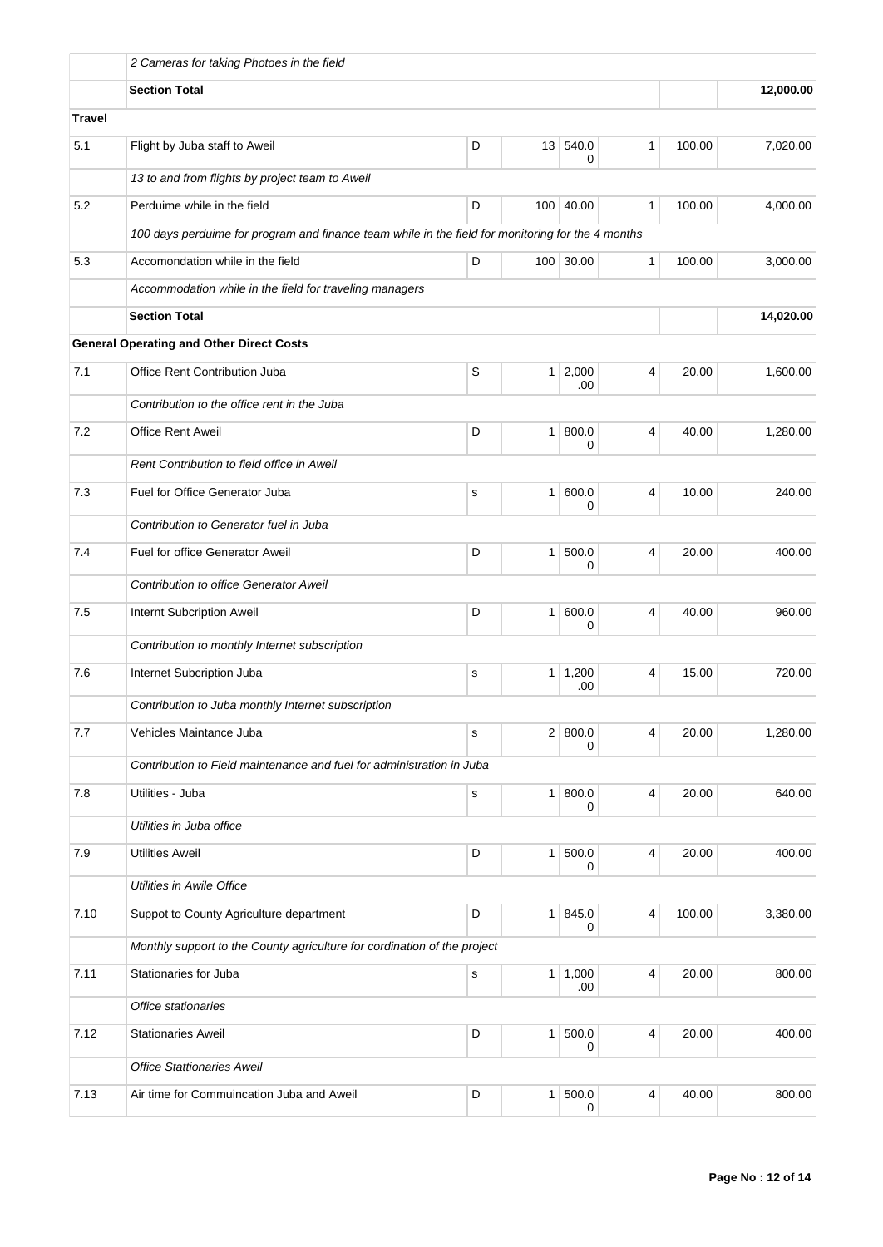|               | 2 Cameras for taking Photoes in the field                                                         |             |                |                       |   |        |           |
|---------------|---------------------------------------------------------------------------------------------------|-------------|----------------|-----------------------|---|--------|-----------|
|               | <b>Section Total</b>                                                                              |             |                |                       |   |        | 12,000.00 |
| <b>Travel</b> |                                                                                                   |             |                |                       |   |        |           |
| 5.1           | Flight by Juba staff to Aweil                                                                     | D           |                | 13 540.0<br>0         | 1 | 100.00 | 7,020.00  |
|               | 13 to and from flights by project team to Aweil                                                   |             |                |                       |   |        |           |
| 5.2           | Perduime while in the field                                                                       | D           |                | 100 40.00             | 1 | 100.00 | 4,000.00  |
|               | 100 days perduime for program and finance team while in the field for monitoring for the 4 months |             |                |                       |   |        |           |
| 5.3           | Accomondation while in the field                                                                  | D           |                | 100 30.00             | 1 | 100.00 | 3,000.00  |
|               | Accommodation while in the field for traveling managers                                           |             |                |                       |   |        |           |
|               | <b>Section Total</b>                                                                              |             |                |                       |   |        | 14,020.00 |
|               | <b>General Operating and Other Direct Costs</b>                                                   |             |                |                       |   |        |           |
| 7.1           | Office Rent Contribution Juba                                                                     | S           | 1 <sup>1</sup> | 2,000<br>.00          | 4 | 20.00  | 1,600.00  |
|               | Contribution to the office rent in the Juba                                                       |             |                |                       |   |        |           |
| 7.2           | <b>Office Rent Aweil</b>                                                                          | D           | $\mathbf{1}$   | 800.0<br>0            | 4 | 40.00  | 1,280.00  |
|               | Rent Contribution to field office in Aweil                                                        |             |                |                       |   |        |           |
| 7.3           | Fuel for Office Generator Juba                                                                    | s           | 1              | 600.0<br>0            | 4 | 10.00  | 240.00    |
|               | Contribution to Generator fuel in Juba                                                            |             |                |                       |   |        |           |
| 7.4           | Fuel for office Generator Aweil                                                                   | D           | $\mathbf{1}$   | 500.0<br>0            | 4 | 20.00  | 400.00    |
|               | <b>Contribution to office Generator Aweil</b>                                                     |             |                |                       |   |        |           |
| 7.5           | Internt Subcription Aweil                                                                         | D           | 1              | 600.0<br>0            | 4 | 40.00  | 960.00    |
|               | Contribution to monthly Internet subscription                                                     |             |                |                       |   |        |           |
| 7.6           | Internet Subcription Juba                                                                         | s           |                | $1 \mid 1,200$<br>.00 | 4 | 15.00  | 720.00    |
|               | Contribution to Juba monthly Internet subscription                                                |             |                |                       |   |        |           |
| 7.7           | Vehicles Maintance Juba                                                                           | $\mathbf s$ | 2 <sup>2</sup> | 800.0<br>0            | 4 | 20.00  | 1,280.00  |
|               | Contribution to Field maintenance and fuel for administration in Juba                             |             |                |                       |   |        |           |
| 7.8           | Utilities - Juba                                                                                  | $\mathbf s$ | 1 <sup>1</sup> | 800.0<br>0            | 4 | 20.00  | 640.00    |
|               | Utilities in Juba office                                                                          |             |                |                       |   |        |           |
| 7.9           | <b>Utilities Aweil</b>                                                                            | D           | 1 <sup>1</sup> | 500.0<br>0            | 4 | 20.00  | 400.00    |
|               | Utilities in Awile Office                                                                         |             |                |                       |   |        |           |
| 7.10          | Suppot to County Agriculture department                                                           | D           | 1 <sup>1</sup> | 845.0<br>0            | 4 | 100.00 | 3,380.00  |
|               | Monthly support to the County agriculture for cordination of the project                          |             |                |                       |   |        |           |
| 7.11          | Stationaries for Juba                                                                             | $\mathbf s$ | 1 <sup>1</sup> | 1,000<br>.00          | 4 | 20.00  | 800.00    |
|               | Office stationaries                                                                               |             |                |                       |   |        |           |
| 7.12          | <b>Stationaries Aweil</b>                                                                         | D           | 1              | 500.0<br>0            | 4 | 20.00  | 400.00    |
|               | <b>Office Stattionaries Aweil</b>                                                                 |             |                |                       |   |        |           |
| 7.13          | Air time for Commuincation Juba and Aweil                                                         | D           | $\mathbf{1}$   | 500.0<br>0            | 4 | 40.00  | 800.00    |